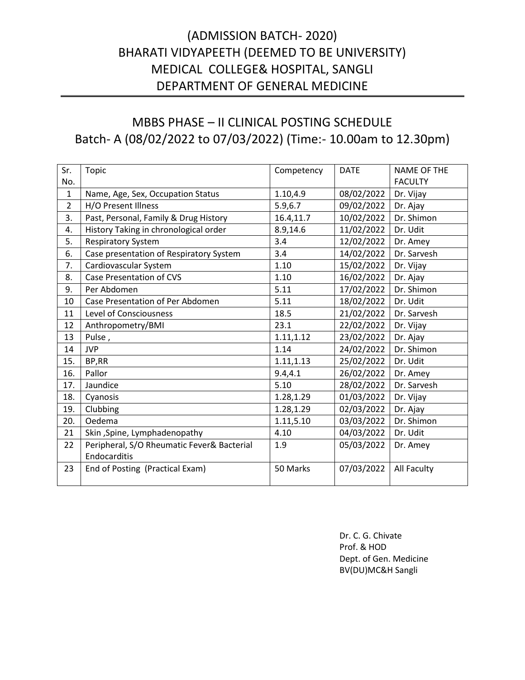# (ADMISSION BATCH- 2020) BHARATI VIDYAPEETH (DEEMED TO BE UNIVERSITY) MEDICAL COLLEGE& HOSPITAL, SANGLI DEPARTMENT OF GENERAL MEDICINE

# MBBS PHASE – II CLINICAL POSTING SCHEDULE Batch- A (08/02/2022 to 07/03/2022) (Time:- 10.00am to 12.30pm)

| Sr.            | Topic                                                      | Competency | <b>DATE</b> | <b>NAME OF THE</b> |
|----------------|------------------------------------------------------------|------------|-------------|--------------------|
| No.            |                                                            |            |             | <b>FACULTY</b>     |
| $\mathbf{1}$   | Name, Age, Sex, Occupation Status                          | 1.10,4.9   | 08/02/2022  | Dr. Vijay          |
| $\overline{2}$ | H/O Present Illness                                        | 5.9,6.7    | 09/02/2022  | Dr. Ajay           |
| 3.             | Past, Personal, Family & Drug History                      | 16.4,11.7  | 10/02/2022  | Dr. Shimon         |
| 4.             | History Taking in chronological order                      | 8.9,14.6   | 11/02/2022  | Dr. Udit           |
| 5.             | <b>Respiratory System</b>                                  | 3.4        | 12/02/2022  | Dr. Amey           |
| 6.             | Case presentation of Respiratory System                    | 3.4        | 14/02/2022  | Dr. Sarvesh        |
| 7.             | Cardiovascular System                                      | 1.10       | 15/02/2022  | Dr. Vijay          |
| 8.             | <b>Case Presentation of CVS</b>                            | 1.10       | 16/02/2022  | Dr. Ajay           |
| 9.             | Per Abdomen                                                | 5.11       | 17/02/2022  | Dr. Shimon         |
| 10             | Case Presentation of Per Abdomen                           | 5.11       | 18/02/2022  | Dr. Udit           |
| 11             | <b>Level of Consciousness</b>                              | 18.5       | 21/02/2022  | Dr. Sarvesh        |
| 12             | Anthropometry/BMI                                          | 23.1       | 22/02/2022  | Dr. Vijay          |
| 13             | Pulse,                                                     | 1.11,1.12  | 23/02/2022  | Dr. Ajay           |
| 14             | <b>JVP</b>                                                 | 1.14       | 24/02/2022  | Dr. Shimon         |
| 15.            | BP,RR                                                      | 1.11, 1.13 | 25/02/2022  | Dr. Udit           |
| 16.            | Pallor                                                     | 9.4, 4.1   | 26/02/2022  | Dr. Amey           |
| 17.            | Jaundice                                                   | 5.10       | 28/02/2022  | Dr. Sarvesh        |
| 18.            | Cyanosis                                                   | 1.28,1.29  | 01/03/2022  | Dr. Vijay          |
| 19.            | Clubbing                                                   | 1.28,1.29  | 02/03/2022  | Dr. Ajay           |
| 20.            | Oedema                                                     | 1.11,5.10  | 03/03/2022  | Dr. Shimon         |
| 21             | Skin, Spine, Lymphadenopathy                               | 4.10       | 04/03/2022  | Dr. Udit           |
| 22             | Peripheral, S/O Rheumatic Fever& Bacterial<br>Endocarditis | 1.9        | 05/03/2022  | Dr. Amey           |
| 23             | End of Posting (Practical Exam)                            | 50 Marks   | 07/03/2022  | All Faculty        |

Dr. C. G. Chivate Prof. & HOD Dept. of Gen. Medicine BV(DU)MC&H Sangli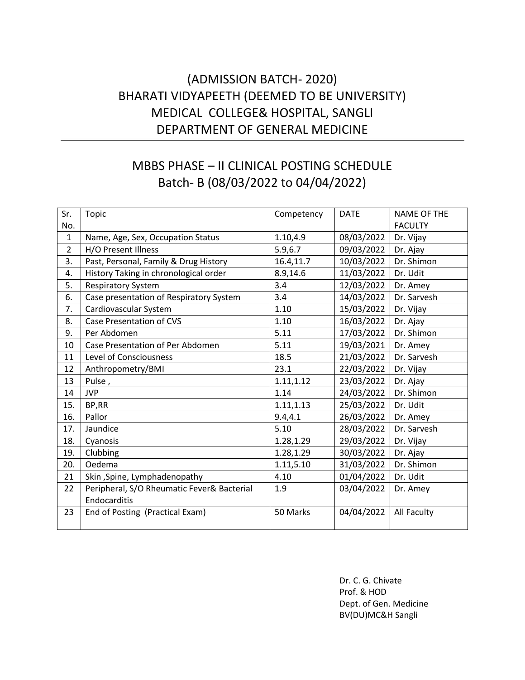# (ADMISSION BATCH- 2020) BHARATI VIDYAPEETH (DEEMED TO BE UNIVERSITY) MEDICAL COLLEGE& HOSPITAL, SANGLI DEPARTMENT OF GENERAL MEDICINE

# MBBS PHASE – II CLINICAL POSTING SCHEDULE Batch- B (08/03/2022 to 04/04/2022)

| Sr.            | Topic                                      | Competency | <b>DATE</b> | <b>NAME OF THE</b> |
|----------------|--------------------------------------------|------------|-------------|--------------------|
| No.            |                                            |            |             | <b>FACULTY</b>     |
| $\mathbf{1}$   | Name, Age, Sex, Occupation Status          | 1.10,4.9   | 08/03/2022  | Dr. Vijay          |
| $\overline{2}$ | H/O Present Illness                        | 5.9,6.7    | 09/03/2022  | Dr. Ajay           |
| 3.             | Past, Personal, Family & Drug History      | 16.4,11.7  | 10/03/2022  | Dr. Shimon         |
| 4.             | History Taking in chronological order      | 8.9,14.6   | 11/03/2022  | Dr. Udit           |
| 5.             | <b>Respiratory System</b>                  | 3.4        | 12/03/2022  | Dr. Amey           |
| 6.             | Case presentation of Respiratory System    | 3.4        | 14/03/2022  | Dr. Sarvesh        |
| 7.             | Cardiovascular System                      | 1.10       | 15/03/2022  | Dr. Vijay          |
| 8.             | Case Presentation of CVS                   | 1.10       | 16/03/2022  | Dr. Ajay           |
| 9.             | Per Abdomen                                | 5.11       | 17/03/2022  | Dr. Shimon         |
| 10             | Case Presentation of Per Abdomen           | 5.11       | 19/03/2021  | Dr. Amey           |
| 11             | <b>Level of Consciousness</b>              | 18.5       | 21/03/2022  | Dr. Sarvesh        |
| 12             | Anthropometry/BMI                          | 23.1       | 22/03/2022  | Dr. Vijay          |
| 13             | Pulse,                                     | 1.11,1.12  | 23/03/2022  | Dr. Ajay           |
| 14             | <b>JVP</b>                                 | 1.14       | 24/03/2022  | Dr. Shimon         |
| 15.            | BP,RR                                      | 1.11,1.13  | 25/03/2022  | Dr. Udit           |
| 16.            | Pallor                                     | 9.4, 4.1   | 26/03/2022  | Dr. Amey           |
| 17.            | Jaundice                                   | 5.10       | 28/03/2022  | Dr. Sarvesh        |
| 18.            | Cyanosis                                   | 1.28,1.29  | 29/03/2022  | Dr. Vijay          |
| 19.            | Clubbing                                   | 1.28,1.29  | 30/03/2022  | Dr. Ajay           |
| 20.            | Oedema                                     | 1.11,5.10  | 31/03/2022  | Dr. Shimon         |
| 21             | Skin, Spine, Lymphadenopathy               | 4.10       | 01/04/2022  | Dr. Udit           |
| 22             | Peripheral, S/O Rheumatic Fever& Bacterial | 1.9        | 03/04/2022  | Dr. Amey           |
|                | Endocarditis                               |            |             |                    |
| 23             | End of Posting (Practical Exam)            | 50 Marks   | 04/04/2022  | All Faculty        |
|                |                                            |            |             |                    |

Dr. C. G. Chivate Prof. & HOD Dept. of Gen. Medicine BV(DU)MC&H Sangli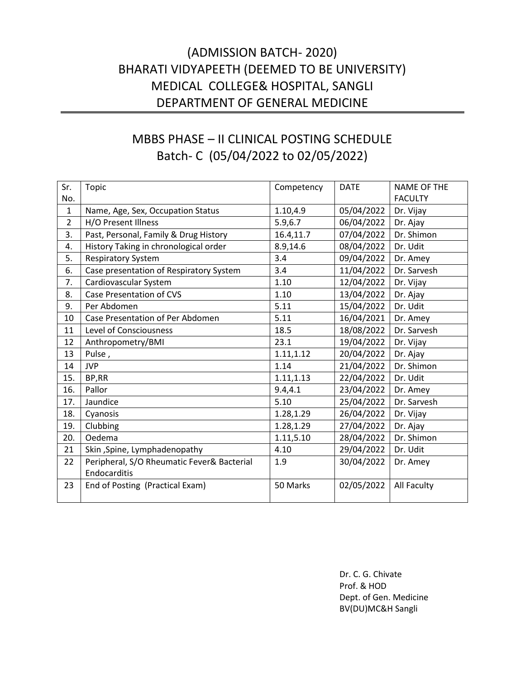# (ADMISSION BATCH- 2020) BHARATI VIDYAPEETH (DEEMED TO BE UNIVERSITY) MEDICAL COLLEGE& HOSPITAL, SANGLI DEPARTMENT OF GENERAL MEDICINE

# MBBS PHASE – II CLINICAL POSTING SCHEDULE Batch- C (05/04/2022 to 02/05/2022)

| Sr.            | Topic                                      | Competency | <b>DATE</b> | <b>NAME OF THE</b> |
|----------------|--------------------------------------------|------------|-------------|--------------------|
| No.            |                                            |            |             | <b>FACULTY</b>     |
| $\mathbf{1}$   | Name, Age, Sex, Occupation Status          | 1.10,4.9   | 05/04/2022  | Dr. Vijay          |
| $\overline{2}$ | H/O Present Illness                        | 5.9,6.7    | 06/04/2022  | Dr. Ajay           |
| 3.             | Past, Personal, Family & Drug History      | 16.4,11.7  | 07/04/2022  | Dr. Shimon         |
| 4.             | History Taking in chronological order      | 8.9,14.6   | 08/04/2022  | Dr. Udit           |
| 5.             | <b>Respiratory System</b>                  | 3.4        | 09/04/2022  | Dr. Amey           |
| 6.             | Case presentation of Respiratory System    | 3.4        | 11/04/2022  | Dr. Sarvesh        |
| 7.             | Cardiovascular System                      | 1.10       | 12/04/2022  | Dr. Vijay          |
| 8.             | <b>Case Presentation of CVS</b>            | 1.10       | 13/04/2022  | Dr. Ajay           |
| 9.             | Per Abdomen                                | 5.11       | 15/04/2022  | Dr. Udit           |
| 10             | Case Presentation of Per Abdomen           | 5.11       | 16/04/2021  | Dr. Amey           |
| 11             | <b>Level of Consciousness</b>              | 18.5       | 18/08/2022  | Dr. Sarvesh        |
| 12             | Anthropometry/BMI                          | 23.1       | 19/04/2022  | Dr. Vijay          |
| 13             | Pulse,                                     | 1.11,1.12  | 20/04/2022  | Dr. Ajay           |
| 14             | <b>JVP</b>                                 | 1.14       | 21/04/2022  | Dr. Shimon         |
| 15.            | BP,RR                                      | 1.11,1.13  | 22/04/2022  | Dr. Udit           |
| 16.            | Pallor                                     | 9.4, 4.1   | 23/04/2022  | Dr. Amey           |
| 17.            | Jaundice                                   | 5.10       | 25/04/2022  | Dr. Sarvesh        |
| 18.            | Cyanosis                                   | 1.28,1.29  | 26/04/2022  | Dr. Vijay          |
| 19.            | Clubbing                                   | 1.28,1.29  | 27/04/2022  | Dr. Ajay           |
| 20.            | Oedema                                     | 1.11,5.10  | 28/04/2022  | Dr. Shimon         |
| 21             | Skin, Spine, Lymphadenopathy               | 4.10       | 29/04/2022  | Dr. Udit           |
| 22             | Peripheral, S/O Rheumatic Fever& Bacterial | 1.9        | 30/04/2022  | Dr. Amey           |
|                | Endocarditis                               |            |             |                    |
| 23             | End of Posting (Practical Exam)            | 50 Marks   | 02/05/2022  | All Faculty        |
|                |                                            |            |             |                    |

Dr. C. G. Chivate Prof. & HOD Dept. of Gen. Medicine BV(DU)MC&H Sangli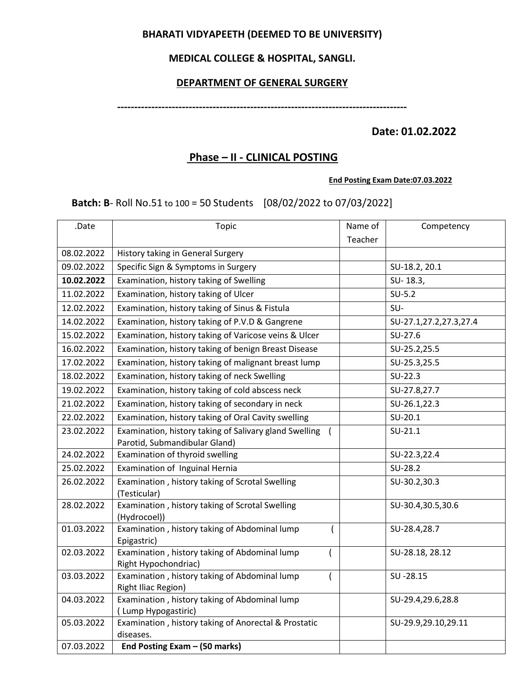## **BHARATI VIDYAPEETH (DEEMED TO BE UNIVERSITY)**

## **MEDICAL COLLEGE & HOSPITAL, SANGLI.**

## **DEPARTMENT OF GENERAL SURGERY**

**-------------------------------------------------------------------------------------**

## **Date: 01.02.2022**

## **Phase – II - CLINICAL POSTING**

#### **End Posting Exam Date:07.03.2022**

**Batch: B- Roll No.51 to 100 = 50 Students [08/02/2022 to 07/03/2022]** 

| .Date      | Topic                                                                | Name of | Competency             |
|------------|----------------------------------------------------------------------|---------|------------------------|
|            |                                                                      | Teacher |                        |
| 08.02.2022 | History taking in General Surgery                                    |         |                        |
| 09.02.2022 | Specific Sign & Symptoms in Surgery                                  |         | SU-18.2, 20.1          |
| 10.02.2022 | Examination, history taking of Swelling                              |         | SU-18.3,               |
| 11.02.2022 | Examination, history taking of Ulcer                                 |         | $SU-5.2$               |
| 12.02.2022 | Examination, history taking of Sinus & Fistula                       |         | SU-                    |
| 14.02.2022 | Examination, history taking of P.V.D & Gangrene                      |         | SU-27.1,27.2,27.3,27.4 |
| 15.02.2022 | Examination, history taking of Varicose veins & Ulcer                |         | $SU-27.6$              |
| 16.02.2022 | Examination, history taking of benign Breast Disease                 |         | SU-25.2,25.5           |
| 17.02.2022 | Examination, history taking of malignant breast lump                 |         | SU-25.3,25.5           |
| 18.02.2022 | Examination, history taking of neck Swelling                         |         | $SU-22.3$              |
| 19.02.2022 | Examination, history taking of cold abscess neck                     |         | SU-27.8,27.7           |
| 21.02.2022 | Examination, history taking of secondary in neck                     |         | SU-26.1,22.3           |
| 22.02.2022 | Examination, history taking of Oral Cavity swelling                  |         | $SU-20.1$              |
| 23.02.2022 | Examination, history taking of Salivary gland Swelling               |         | $SU-21.1$              |
|            | Parotid, Submandibular Gland)                                        |         |                        |
| 24.02.2022 | Examination of thyroid swelling                                      |         | SU-22.3,22.4           |
| 25.02.2022 | Examination of Inguinal Hernia                                       |         | SU-28.2                |
| 26.02.2022 | Examination, history taking of Scrotal Swelling<br>(Testicular)      |         | SU-30.2,30.3           |
| 28.02.2022 | Examination, history taking of Scrotal Swelling                      |         | SU-30.4,30.5,30.6      |
|            | (Hydrocoel))                                                         |         |                        |
| 01.03.2022 | Examination, history taking of Abdominal lump<br>Epigastric)         |         | SU-28.4,28.7           |
| 02.03.2022 | Examination, history taking of Abdominal lump<br>$\overline{ }$      |         | SU-28.18, 28.12        |
|            | Right Hypochondriac)                                                 |         |                        |
| 03.03.2022 | Examination, history taking of Abdominal lump                        |         | SU-28.15               |
| 04.03.2022 | Right Iliac Region)<br>Examination, history taking of Abdominal lump |         | SU-29.4,29.6,28.8      |
|            | (Lump Hypogastiric)                                                  |         |                        |
| 05.03.2022 | Examination, history taking of Anorectal & Prostatic                 |         | SU-29.9,29.10,29.11    |
|            | diseases.                                                            |         |                        |
| 07.03.2022 | End Posting Exam - (50 marks)                                        |         |                        |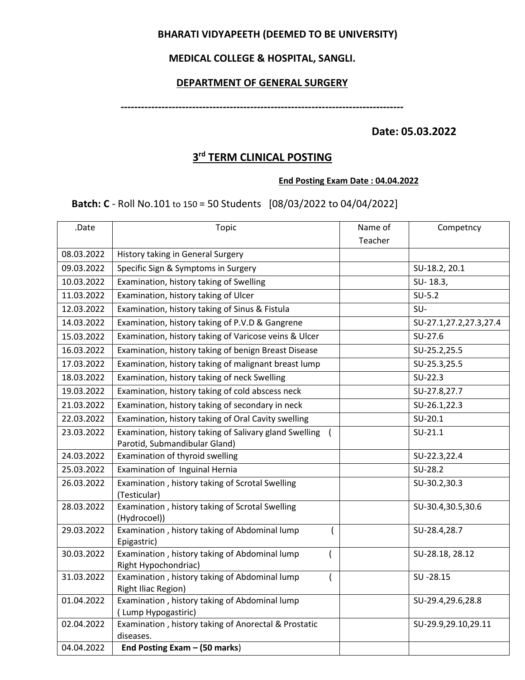## **BHARATI VIDYAPEETH (DEEMED TO BE UNIVERSITY)**

## **MEDICAL COLLEGE & HOSPITAL, SANGLI.**

### **DEPARTMENT OF GENERAL SURGERY**

**-----------------------------------------------------------------------------------**

**Date: 05.03.2022**

## **3 rd TERM CLINICAL POSTING**

#### **End Posting Exam Date : 04.04.2022**

 **Batch: C** - Roll No.101 to 150 = 50 Students [08/03/2022 to 04/04/2022]

| .Date      | <b>Topic</b>                                                                | Name of | Competncy              |
|------------|-----------------------------------------------------------------------------|---------|------------------------|
|            |                                                                             | Teacher |                        |
| 08.03.2022 | History taking in General Surgery                                           |         |                        |
| 09.03.2022 | Specific Sign & Symptoms in Surgery                                         |         | SU-18.2, 20.1          |
| 10.03.2022 | Examination, history taking of Swelling                                     |         | SU-18.3,               |
| 11.03.2022 | Examination, history taking of Ulcer                                        |         | $SU-5.2$               |
| 12.03.2022 | Examination, history taking of Sinus & Fistula                              |         | SU-                    |
| 14.03.2022 | Examination, history taking of P.V.D & Gangrene                             |         | SU-27.1,27.2,27.3,27.4 |
| 15.03.2022 | Examination, history taking of Varicose veins & Ulcer                       |         | SU-27.6                |
| 16.03.2022 | Examination, history taking of benign Breast Disease                        |         | SU-25.2,25.5           |
| 17.03.2022 | Examination, history taking of malignant breast lump                        |         | SU-25.3,25.5           |
| 18.03.2022 | Examination, history taking of neck Swelling                                |         | $SU-22.3$              |
| 19.03.2022 | Examination, history taking of cold abscess neck                            |         | SU-27.8,27.7           |
| 21.03.2022 | Examination, history taking of secondary in neck                            |         | SU-26.1,22.3           |
| 22.03.2022 | Examination, history taking of Oral Cavity swelling                         |         | $SU-20.1$              |
| 23.03.2022 | Examination, history taking of Salivary gland Swelling                      |         | $SU-21.1$              |
|            | Parotid, Submandibular Gland)                                               |         |                        |
| 24.03.2022 | Examination of thyroid swelling                                             |         | SU-22.3,22.4           |
| 25.03.2022 | Examination of Inguinal Hernia                                              |         | SU-28.2                |
| 26.03.2022 | Examination, history taking of Scrotal Swelling<br>(Testicular)             |         | SU-30.2,30.3           |
| 28.03.2022 | Examination, history taking of Scrotal Swelling                             |         | SU-30.4,30.5,30.6      |
|            | (Hydrocoel))                                                                |         |                        |
| 29.03.2022 | Examination, history taking of Abdominal lump<br>Epigastric)                |         | SU-28.4,28.7           |
| 30.03.2022 | Examination, history taking of Abdominal lump                               |         | SU-28.18, 28.12        |
|            | Right Hypochondriac)                                                        |         |                        |
| 31.03.2022 | Examination, history taking of Abdominal lump<br><b>Right Iliac Region)</b> |         | SU-28.15               |
| 01.04.2022 | Examination, history taking of Abdominal lump                               |         | SU-29.4,29.6,28.8      |
|            | (Lump Hypogastiric)                                                         |         |                        |
| 02.04.2022 | Examination, history taking of Anorectal & Prostatic                        |         | SU-29.9,29.10,29.11    |
|            | diseases.                                                                   |         |                        |
| 04.04.2022 | End Posting Exam - (50 marks)                                               |         |                        |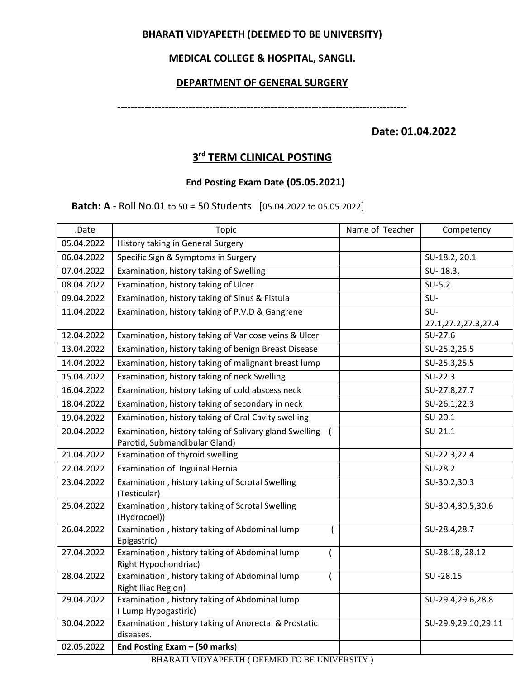## **BHARATI VIDYAPEETH (DEEMED TO BE UNIVERSITY)**

## **MEDICAL COLLEGE & HOSPITAL, SANGLI.**

## **DEPARTMENT OF GENERAL SURGERY**

**-------------------------------------------------------------------------------------**

**Date: 01.04.2022**

# **3 rd TERM CLINICAL POSTING**

## **End Posting Exam Date (05.05.2021)**

 **Batch: A** - Roll No.01 to 50 = 50 Students [05.04.2022 to 05.05.2022]

| .Date                                        | <b>Topic</b>                                                    | Name of Teacher | Competency          |  |  |
|----------------------------------------------|-----------------------------------------------------------------|-----------------|---------------------|--|--|
| 05.04.2022                                   | History taking in General Surgery                               |                 |                     |  |  |
| 06.04.2022                                   | Specific Sign & Symptoms in Surgery                             |                 | SU-18.2, 20.1       |  |  |
| 07.04.2022                                   | Examination, history taking of Swelling                         |                 | SU-18.3,            |  |  |
| 08.04.2022                                   | Examination, history taking of Ulcer                            |                 | $SU-5.2$            |  |  |
| 09.04.2022                                   | Examination, history taking of Sinus & Fistula                  |                 | SU-                 |  |  |
| 11.04.2022                                   | Examination, history taking of P.V.D & Gangrene                 |                 | SU-                 |  |  |
|                                              |                                                                 |                 | 27.1,27.2,27.3,27.4 |  |  |
| 12.04.2022                                   | Examination, history taking of Varicose veins & Ulcer           |                 | $SU-27.6$           |  |  |
| 13.04.2022                                   | Examination, history taking of benign Breast Disease            |                 | SU-25.2,25.5        |  |  |
| 14.04.2022                                   | Examination, history taking of malignant breast lump            |                 | SU-25.3,25.5        |  |  |
| 15.04.2022                                   | Examination, history taking of neck Swelling                    |                 | $SU-22.3$           |  |  |
| 16.04.2022                                   | Examination, history taking of cold abscess neck                |                 | SU-27.8,27.7        |  |  |
| 18.04.2022                                   | Examination, history taking of secondary in neck                |                 | SU-26.1,22.3        |  |  |
| 19.04.2022                                   | Examination, history taking of Oral Cavity swelling             |                 | $SU-20.1$           |  |  |
| 20.04.2022                                   | Examination, history taking of Salivary gland Swelling (        |                 | $SU-21.1$           |  |  |
|                                              | Parotid, Submandibular Gland)                                   |                 |                     |  |  |
| 21.04.2022                                   | Examination of thyroid swelling                                 |                 | SU-22.3,22.4        |  |  |
| 22.04.2022                                   | Examination of Inguinal Hernia                                  |                 | SU-28.2             |  |  |
| 23.04.2022                                   | Examination, history taking of Scrotal Swelling<br>(Testicular) |                 | SU-30.2,30.3        |  |  |
| 25.04.2022                                   | Examination, history taking of Scrotal Swelling                 |                 | SU-30.4,30.5,30.6   |  |  |
|                                              | (Hydrocoel))                                                    |                 |                     |  |  |
| 26.04.2022                                   | Examination, history taking of Abdominal lump                   | $\overline{(}$  | SU-28.4,28.7        |  |  |
| 27.04.2022                                   | Epigastric)<br>Examination, history taking of Abdominal lump    |                 | SU-28.18, 28.12     |  |  |
|                                              | Right Hypochondriac)                                            |                 |                     |  |  |
| 28.04.2022                                   | Examination, history taking of Abdominal lump                   |                 | SU-28.15            |  |  |
|                                              | <b>Right Iliac Region)</b>                                      |                 |                     |  |  |
| 29.04.2022                                   | Examination, history taking of Abdominal lump                   |                 | SU-29.4,29.6,28.8   |  |  |
|                                              | (Lump Hypogastiric)                                             |                 |                     |  |  |
| 30.04.2022                                   | Examination, history taking of Anorectal & Prostatic            |                 | SU-29.9,29.10,29.11 |  |  |
|                                              | diseases.                                                       |                 |                     |  |  |
| 02.05.2022                                   | End Posting Exam - (50 marks)                                   |                 |                     |  |  |
| BHARATI VIDYAPEETH (DEEMED TO BE UNIVERSITY) |                                                                 |                 |                     |  |  |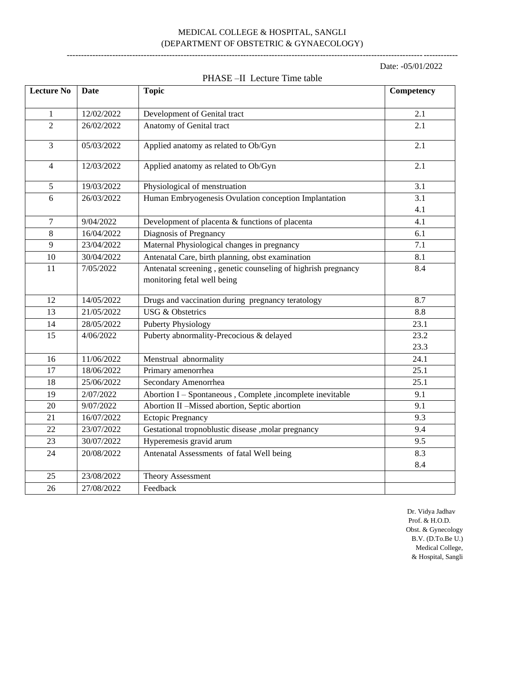#### MEDICAL COLLEGE & HOSPITAL, SANGLI (DEPARTMENT OF OBSTETRIC & GYNAECOLOGY) -----------------------------------------------------------------------------------------------------------------------------------------

Date: -05/01/2022

| <b>Lecture No</b> | Date       | <b>Topic</b>                                                  | Competency       |
|-------------------|------------|---------------------------------------------------------------|------------------|
| $\mathbf{1}$      | 12/02/2022 | Development of Genital tract                                  | 2.1              |
| $\overline{c}$    | 26/02/2022 | Anatomy of Genital tract                                      | 2.1              |
| 3                 | 05/03/2022 | Applied anatomy as related to Ob/Gyn                          | 2.1              |
| $\overline{4}$    | 12/03/2022 | Applied anatomy as related to Ob/Gyn                          | 2.1              |
| 5                 | 19/03/2022 | Physiological of menstruation                                 | 3.1              |
| 6                 | 26/03/2022 | Human Embryogenesis Ovulation conception Implantation         | 3.1              |
|                   |            |                                                               | 4.1              |
| $\overline{7}$    | 9/04/2022  | Development of placenta & functions of placenta               | 4.1              |
| $8\,$             | 16/04/2022 | Diagnosis of Pregnancy                                        | 6.1              |
| 9                 | 23/04/2022 | Maternal Physiological changes in pregnancy                   | 7.1              |
| 10                | 30/04/2022 | Antenatal Care, birth planning, obst examination              | 8.1              |
| 11                | 7/05/2022  | Antenatal screening, genetic counseling of highrish pregnancy | 8.4              |
|                   |            | monitoring fetal well being                                   |                  |
| 12                | 14/05/2022 | Drugs and vaccination during pregnancy teratology             | 8.7              |
| 13                | 21/05/2022 | <b>USG &amp; Obstetrics</b>                                   | $\overline{8.8}$ |
| 14                | 28/05/2022 | <b>Puberty Physiology</b>                                     | 23.1             |
| 15                | 4/06/2022  | Puberty abnormality-Precocious & delayed                      | 23.2             |
|                   |            |                                                               | 23.3             |
| 16                | 11/06/2022 | Menstrual abnormality                                         | 24.1             |
| 17                | 18/06/2022 | Primary amenorrhea                                            | 25.1             |
| 18                | 25/06/2022 | Secondary Amenorrhea                                          | 25.1             |
| 19                | 2/07/2022  | Abortion I - Spontaneous, Complete, incomplete inevitable     | 9.1              |
| 20                | 9/07/2022  | Abortion II -Missed abortion, Septic abortion                 | 9.1              |
| 21                | 16/07/2022 | <b>Ectopic Pregnancy</b>                                      | 9.3              |
| 22                | 23/07/2022 | Gestational tropnoblustic disease ,molar pregnancy            | 9.4              |
| 23                | 30/07/2022 | Hyperemesis gravid arum                                       | 9.5              |
| 24                | 20/08/2022 | Antenatal Assessments of fatal Well being                     | 8.3              |
|                   |            |                                                               | 8.4              |
| 25                | 23/08/2022 | <b>Theory Assessment</b>                                      |                  |
| 26                | 27/08/2022 | Feedback                                                      |                  |

#### PHASE –II Lecture Time table

 Dr. Vidya Jadhav Prof. & H.O.D. Obst. & Gynecology B.V. (D.To.Be U.) Medical College, & Hospital, Sangli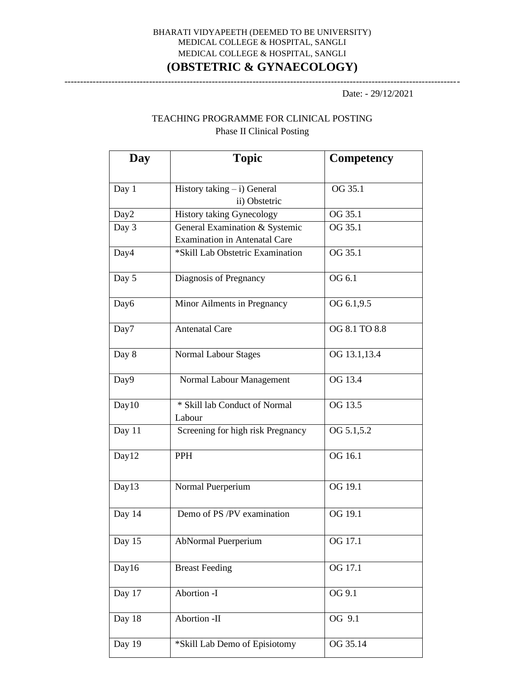## BHARATI VIDYAPEETH (DEEMED TO BE UNIVERSITY) MEDICAL COLLEGE & HOSPITAL, SANGLI MEDICAL COLLEGE & HOSPITAL, SANGLI **(OBSTETRIC & GYNAECOLOGY)**

------------------------------------------------------------------------------------------------------------------------------

Date: - 29/12/2021

## TEACHING PROGRAMME FOR CLINICAL POSTING Phase II Clinical Posting

| Day    | <b>Topic</b>                                    | Competency    |
|--------|-------------------------------------------------|---------------|
| Day 1  | History taking $- i$ ) General<br>ii) Obstetric | OG 35.1       |
| Day2   | <b>History taking Gynecology</b>                | OG 35.1       |
| Day 3  | General Examination & Systemic                  | OG 35.1       |
|        | <b>Examination in Antenatal Care</b>            |               |
| Day4   | *Skill Lab Obstetric Examination                | OG 35.1       |
| Day 5  | Diagnosis of Pregnancy                          | OG 6.1        |
| Day6   | Minor Ailments in Pregnancy                     | OG 6.1,9.5    |
| Day7   | <b>Antenatal Care</b>                           | OG 8.1 TO 8.8 |
| Day 8  | Normal Labour Stages                            | OG 13.1,13.4  |
| Day9   | Normal Labour Management                        | OG 13.4       |
| Day10  | * Skill lab Conduct of Normal<br>Labour         | OG 13.5       |
| Day 11 | Screening for high risk Pregnancy               | OG 5.1,5.2    |
| Day12  | <b>PPH</b>                                      | OG 16.1       |
| Day13  | Normal Puerperium                               | OG 19.1       |
| Day 14 | Demo of PS /PV examination                      | OG 19.1       |
| Day 15 | <b>AbNormal Puerperium</b>                      | OG 17.1       |
| Day16  | <b>Breast Feeding</b>                           | OG 17.1       |
| Day 17 | Abortion -I                                     | OG 9.1        |
| Day 18 | Abortion -II                                    | OG 9.1        |
| Day 19 | *Skill Lab Demo of Episiotomy                   | OG 35.14      |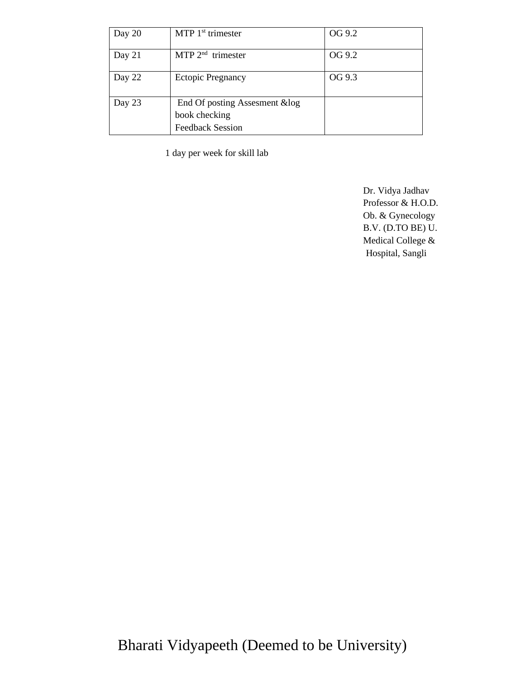| Day 20 | MTP $1st$ trimester                                                        | OG 9.2 |
|--------|----------------------------------------------------------------------------|--------|
| Day 21 | MTP $2^{nd}$ trimester                                                     | OG 9.2 |
| Day 22 | <b>Ectopic Pregnancy</b>                                                   | OG 9.3 |
| Day 23 | End Of posting Assesment & log<br>book checking<br><b>Feedback Session</b> |        |

1 day per week for skill lab

 Dr. Vidya Jadhav Professor & H.O.D. Ob. & Gynecology B.V. (D.TO BE) U. Medical College & Hospital, Sangli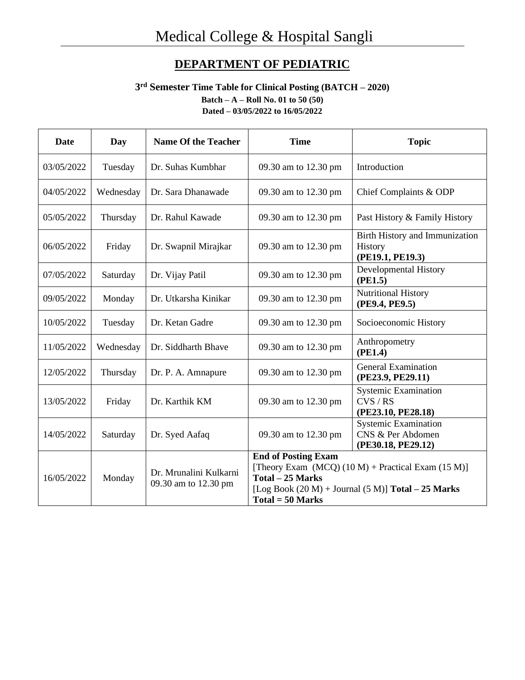# **DEPARTMENT OF PEDIATRIC**

## **3 rd Semester Time Table for Clinical Posting (BATCH – 2020) Batch – A – Roll No. 01 to 50 (50) Dated – 03/05/2022 to 16/05/2022**

| <b>Date</b> | Day       | <b>Name Of the Teacher</b>                     | <b>Time</b>                                                                                                                                                                              | <b>Topic</b>                                                           |
|-------------|-----------|------------------------------------------------|------------------------------------------------------------------------------------------------------------------------------------------------------------------------------------------|------------------------------------------------------------------------|
| 03/05/2022  | Tuesday   | Dr. Suhas Kumbhar                              | 09.30 am to 12.30 pm                                                                                                                                                                     | Introduction                                                           |
| 04/05/2022  | Wednesday | Dr. Sara Dhanawade                             | 09.30 am to 12.30 pm                                                                                                                                                                     | Chief Complaints & ODP                                                 |
| 05/05/2022  | Thursday  | Dr. Rahul Kawade                               | 09.30 am to 12.30 pm                                                                                                                                                                     | Past History & Family History                                          |
| 06/05/2022  | Friday    | Dr. Swapnil Mirajkar                           | 09.30 am to 12.30 pm                                                                                                                                                                     | Birth History and Immunization<br>History<br>(PE19.1, PE19.3)          |
| 07/05/2022  | Saturday  | Dr. Vijay Patil                                | 09.30 am to 12.30 pm                                                                                                                                                                     | <b>Developmental History</b><br>(PE1.5)                                |
| 09/05/2022  | Monday    | Dr. Utkarsha Kinikar                           | 09.30 am to 12.30 pm                                                                                                                                                                     | Nutritional History<br>(PE9.4, PE9.5)                                  |
| 10/05/2022  | Tuesday   | Dr. Ketan Gadre                                | 09.30 am to 12.30 pm                                                                                                                                                                     | Socioeconomic History                                                  |
| 11/05/2022  | Wednesday | Dr. Siddharth Bhave                            | 09.30 am to 12.30 pm                                                                                                                                                                     | Anthropometry<br>(PE1.4)                                               |
| 12/05/2022  | Thursday  | Dr. P. A. Amnapure                             | 09.30 am to 12.30 pm                                                                                                                                                                     | <b>General Examination</b><br>(PE23.9, PE29.11)                        |
| 13/05/2022  | Friday    | Dr. Karthik KM                                 | 09.30 am to 12.30 pm                                                                                                                                                                     | <b>Systemic Examination</b><br>CVS/RS<br>(PE23.10, PE28.18)            |
| 14/05/2022  | Saturday  | Dr. Syed Aafaq                                 | 09.30 am to 12.30 pm                                                                                                                                                                     | <b>Systemic Examination</b><br>CNS & Per Abdomen<br>(PE30.18, PE29.12) |
| 16/05/2022  | Monday    | Dr. Mrunalini Kulkarni<br>09.30 am to 12.30 pm | <b>End of Posting Exam</b><br>[Theory Exam $(MCQ) (10 M) + Practical Exam (15 M)$ ]<br>Total - 25 Marks<br>[Log Book $(20 M)$ + Journal $(5 M)$ ] Total - 25 Marks<br>$Total = 50 Marks$ |                                                                        |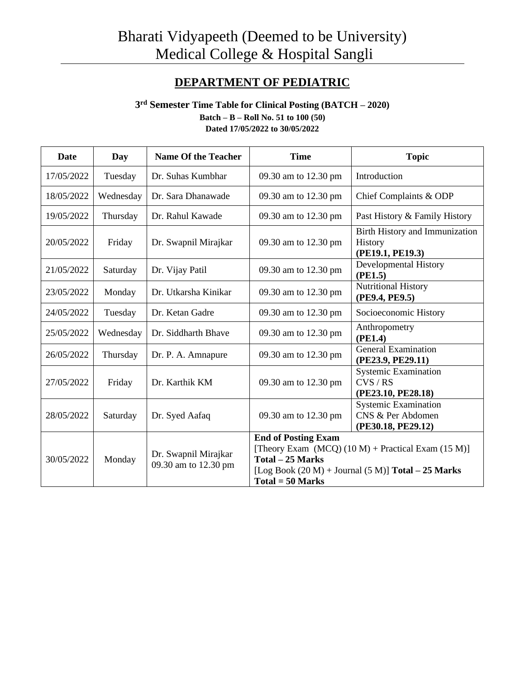# **DEPARTMENT OF PEDIATRIC**

### **3 rd Semester Time Table for Clinical Posting (BATCH – 2020) Batch – B – Roll No. 51 to 100 (50) Dated 17/05/2022 to 30/05/2022**

| <b>Date</b> | Day       | <b>Name Of the Teacher</b>                   | <b>Time</b>                                                                                                                                                                             | <b>Topic</b>                                                           |
|-------------|-----------|----------------------------------------------|-----------------------------------------------------------------------------------------------------------------------------------------------------------------------------------------|------------------------------------------------------------------------|
| 17/05/2022  | Tuesday   | Dr. Suhas Kumbhar                            | 09.30 am to 12.30 pm                                                                                                                                                                    | Introduction                                                           |
| 18/05/2022  | Wednesday | Dr. Sara Dhanawade                           | 09.30 am to 12.30 pm                                                                                                                                                                    | Chief Complaints & ODP                                                 |
| 19/05/2022  | Thursday  | Dr. Rahul Kawade                             | 09.30 am to 12.30 pm                                                                                                                                                                    | Past History & Family History                                          |
| 20/05/2022  | Friday    | Dr. Swapnil Mirajkar                         | 09.30 am to 12.30 pm                                                                                                                                                                    | Birth History and Immunization<br>History<br>(PE19.1, PE19.3)          |
| 21/05/2022  | Saturday  | Dr. Vijay Patil                              | 09.30 am to 12.30 pm                                                                                                                                                                    | Developmental History<br>(PE1.5)                                       |
| 23/05/2022  | Monday    | Dr. Utkarsha Kinikar                         | 09.30 am to 12.30 pm                                                                                                                                                                    | <b>Nutritional History</b><br>(PE9.4, PE9.5)                           |
| 24/05/2022  | Tuesday   | Dr. Ketan Gadre                              | 09.30 am to 12.30 pm                                                                                                                                                                    | Socioeconomic History                                                  |
| 25/05/2022  | Wednesday | Dr. Siddharth Bhave                          | 09.30 am to 12.30 pm                                                                                                                                                                    | Anthropometry<br>(PE1.4)                                               |
| 26/05/2022  | Thursday  | Dr. P. A. Amnapure                           | 09.30 am to 12.30 pm                                                                                                                                                                    | <b>General Examination</b><br>(PE23.9, PE29.11)                        |
| 27/05/2022  | Friday    | Dr. Karthik KM                               | 09.30 am to 12.30 pm                                                                                                                                                                    | <b>Systemic Examination</b><br>CVS/RS<br>(PE23.10, PE28.18)            |
| 28/05/2022  | Saturday  | Dr. Syed Aafaq                               | 09.30 am to 12.30 pm                                                                                                                                                                    | <b>Systemic Examination</b><br>CNS & Per Abdomen<br>(PE30.18, PE29.12) |
| 30/05/2022  | Monday    | Dr. Swapnil Mirajkar<br>09.30 am to 12.30 pm | <b>End of Posting Exam</b><br>[Theory Exam $(MCQ) (10 M) + Practical Exam (15 M)]$<br>Total - 25 Marks<br>[Log Book $(20 M)$ + Journal $(5 M)$ ] Total – 25 Marks<br>$Total = 50 Marks$ |                                                                        |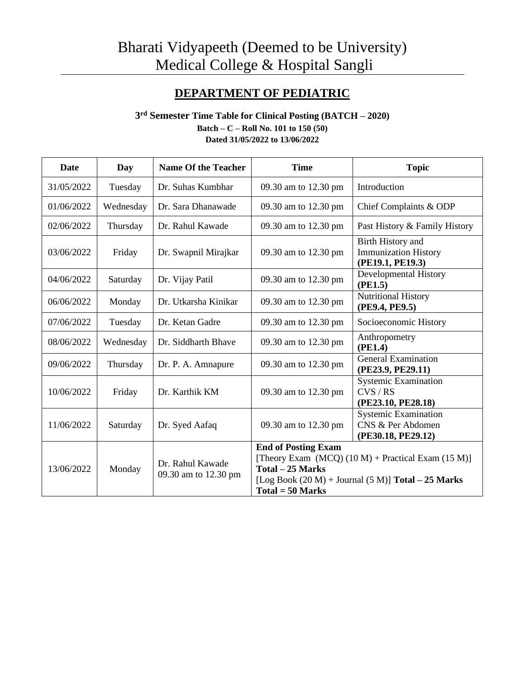# **DEPARTMENT OF PEDIATRIC**

### **3 rd Semester Time Table for Clinical Posting (BATCH – 2020) Batch – C – Roll No. 101 to 150 (50) Dated 31/05/2022 to 13/06/2022**

| <b>Date</b> | Day       | <b>Name Of the Teacher</b>               | <b>Time</b>                                                                                                                                                                                | <b>Topic</b>                                                           |
|-------------|-----------|------------------------------------------|--------------------------------------------------------------------------------------------------------------------------------------------------------------------------------------------|------------------------------------------------------------------------|
| 31/05/2022  | Tuesday   | Dr. Suhas Kumbhar                        | 09.30 am to 12.30 pm                                                                                                                                                                       | Introduction                                                           |
| 01/06/2022  | Wednesday | Dr. Sara Dhanawade                       | 09.30 am to 12.30 pm                                                                                                                                                                       | Chief Complaints & ODP                                                 |
| 02/06/2022  | Thursday  | Dr. Rahul Kawade                         | 09.30 am to 12.30 pm                                                                                                                                                                       | Past History & Family History                                          |
| 03/06/2022  | Friday    | Dr. Swapnil Mirajkar                     | 09.30 am to 12.30 pm                                                                                                                                                                       | Birth History and<br><b>Immunization History</b><br>(PE19.1, PE19.3)   |
| 04/06/2022  | Saturday  | Dr. Vijay Patil                          | 09.30 am to 12.30 pm                                                                                                                                                                       | <b>Developmental History</b><br>(PE1.5)                                |
| 06/06/2022  | Monday    | Dr. Utkarsha Kinikar                     | 09.30 am to 12.30 pm                                                                                                                                                                       | Nutritional History<br>(PE9.4, PE9.5)                                  |
| 07/06/2022  | Tuesday   | Dr. Ketan Gadre                          | 09.30 am to 12.30 pm                                                                                                                                                                       | Socioeconomic History                                                  |
| 08/06/2022  | Wednesday | Dr. Siddharth Bhave                      | 09.30 am to 12.30 pm                                                                                                                                                                       | Anthropometry<br>(PE1.4)                                               |
| 09/06/2022  | Thursday  | Dr. P. A. Amnapure                       | 09.30 am to 12.30 pm                                                                                                                                                                       | <b>General Examination</b><br>(PE23.9, PE29.11)                        |
| 10/06/2022  | Friday    | Dr. Karthik KM                           | 09.30 am to 12.30 pm                                                                                                                                                                       | <b>Systemic Examination</b><br>CVS/RS<br>(PE23.10, PE28.18)            |
| 11/06/2022  | Saturday  | Dr. Syed Aafaq                           | 09.30 am to 12.30 pm                                                                                                                                                                       | <b>Systemic Examination</b><br>CNS & Per Abdomen<br>(PE30.18, PE29.12) |
| 13/06/2022  | Monday    | Dr. Rahul Kawade<br>09.30 am to 12.30 pm | <b>End of Posting Exam</b><br>[Theory Exam (MCQ) $(10 M)$ + Practical Exam $(15 M)$ ]<br>Total - 25 Marks<br>[Log Book $(20 M)$ + Journal $(5 M)$ ] Total - 25 Marks<br>$Total = 50 Marks$ |                                                                        |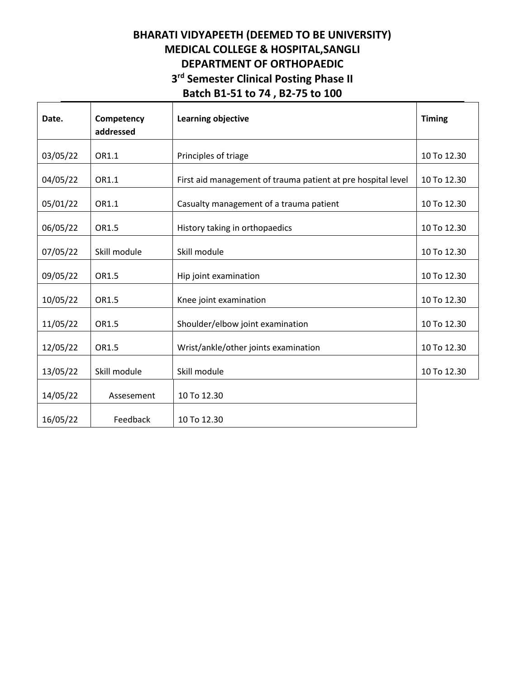# **BHARATI VIDYAPEETH (DEEMED TO BE UNIVERSITY) MEDICAL COLLEGE & HOSPITAL,SANGLI DEPARTMENT OF ORTHOPAEDIC 3 rd Semester Clinical Posting Phase II Batch B1-51 to 74 , B2-75 to 100**

| Date.    | Competency<br>addressed | <b>Learning objective</b>                                    | <b>Timing</b> |
|----------|-------------------------|--------------------------------------------------------------|---------------|
| 03/05/22 | OR1.1                   | Principles of triage                                         | 10 To 12.30   |
| 04/05/22 | OR1.1                   | First aid management of trauma patient at pre hospital level | 10 To 12.30   |
| 05/01/22 | OR1.1                   | Casualty management of a trauma patient                      | 10 To 12.30   |
| 06/05/22 | OR1.5                   | History taking in orthopaedics                               | 10 To 12.30   |
| 07/05/22 | Skill module            | Skill module                                                 | 10 To 12.30   |
| 09/05/22 | OR1.5                   | Hip joint examination                                        | 10 To 12.30   |
| 10/05/22 | OR1.5                   | Knee joint examination                                       | 10 To 12.30   |
| 11/05/22 | OR1.5                   | Shoulder/elbow joint examination                             | 10 To 12.30   |
| 12/05/22 | OR1.5                   | Wrist/ankle/other joints examination                         | 10 To 12.30   |
| 13/05/22 | Skill module            | Skill module                                                 | 10 To 12.30   |
| 14/05/22 | Assesement              | 10 To 12.30                                                  |               |
| 16/05/22 | Feedback                | 10 To 12.30                                                  |               |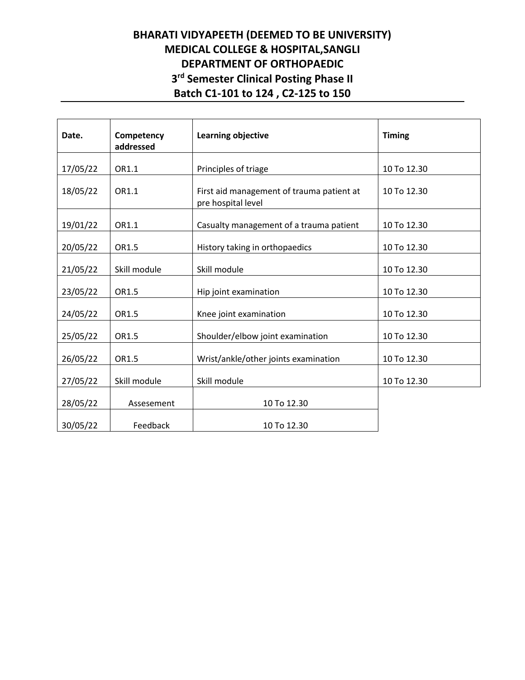# **BHARATI VIDYAPEETH (DEEMED TO BE UNIVERSITY) MEDICAL COLLEGE & HOSPITAL,SANGLI DEPARTMENT OF ORTHOPAEDIC 3 rd Semester Clinical Posting Phase II Batch C1-101 to 124 , C2-125 to 150**

| Date.    | Competency<br>addressed | <b>Learning objective</b>                                       | <b>Timing</b> |
|----------|-------------------------|-----------------------------------------------------------------|---------------|
| 17/05/22 | OR1.1                   | Principles of triage                                            | 10 To 12.30   |
| 18/05/22 | OR1.1                   | First aid management of trauma patient at<br>pre hospital level | 10 To 12.30   |
| 19/01/22 | OR1.1                   | Casualty management of a trauma patient                         | 10 To 12.30   |
| 20/05/22 | OR1.5                   | History taking in orthopaedics                                  | 10 To 12.30   |
| 21/05/22 | Skill module            | Skill module                                                    | 10 To 12.30   |
| 23/05/22 | OR1.5                   | Hip joint examination                                           | 10 To 12.30   |
| 24/05/22 | OR1.5                   | Knee joint examination                                          | 10 To 12.30   |
| 25/05/22 | OR1.5                   | Shoulder/elbow joint examination                                | 10 To 12.30   |
| 26/05/22 | OR1.5                   | Wrist/ankle/other joints examination                            | 10 To 12.30   |
| 27/05/22 | Skill module            | Skill module                                                    | 10 To 12.30   |
| 28/05/22 | Assesement              | 10 To 12.30                                                     |               |
| 30/05/22 | Feedback                | 10 To 12.30                                                     |               |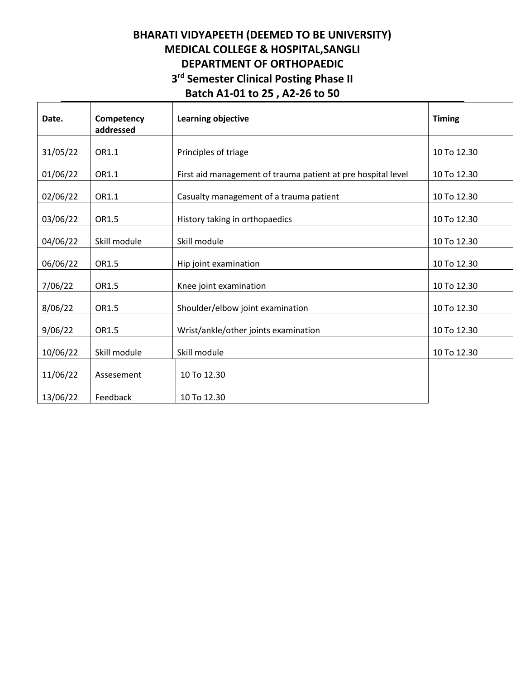# **BHARATI VIDYAPEETH (DEEMED TO BE UNIVERSITY) MEDICAL COLLEGE & HOSPITAL,SANGLI DEPARTMENT OF ORTHOPAEDIC 3 rd Semester Clinical Posting Phase II Batch A1-01 to 25 , A2-26 to 50**

| Date.    | Competency<br>addressed | Learning objective                                           | <b>Timing</b> |
|----------|-------------------------|--------------------------------------------------------------|---------------|
| 31/05/22 | OR1.1                   | Principles of triage                                         | 10 To 12.30   |
| 01/06/22 | OR1.1                   | First aid management of trauma patient at pre hospital level | 10 To 12.30   |
| 02/06/22 | OR1.1                   | Casualty management of a trauma patient                      | 10 To 12.30   |
| 03/06/22 | OR1.5                   | History taking in orthopaedics                               | 10 To 12.30   |
| 04/06/22 | Skill module            | Skill module                                                 | 10 To 12.30   |
| 06/06/22 | OR1.5                   | Hip joint examination                                        | 10 To 12.30   |
| 7/06/22  | OR1.5                   | Knee joint examination                                       | 10 To 12.30   |
| 8/06/22  | OR1.5                   | Shoulder/elbow joint examination                             | 10 To 12.30   |
| 9/06/22  | OR1.5                   | Wrist/ankle/other joints examination                         | 10 To 12.30   |
| 10/06/22 | Skill module            | Skill module                                                 | 10 To 12.30   |
| 11/06/22 | Assesement              | 10 To 12.30                                                  |               |
| 13/06/22 | Feedback                | 10 To 12.30                                                  |               |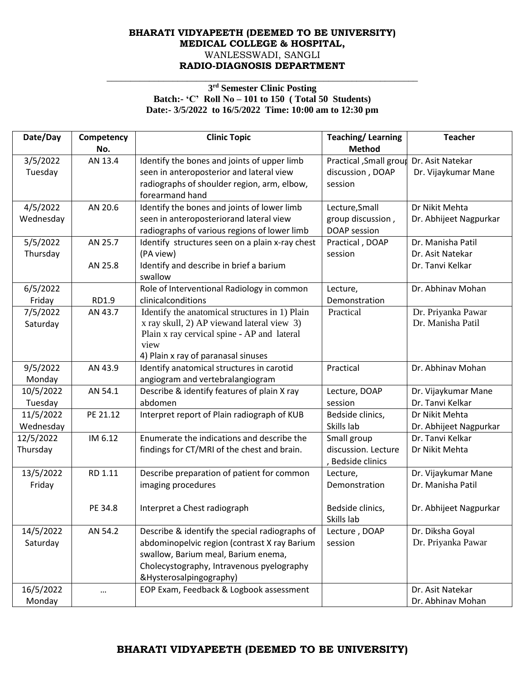### **BHARATI VIDYAPEETH (DEEMED TO BE UNIVERSITY) MEDICAL COLLEGE & HOSPITAL,** WANLESSWADI, SANGLI **RADIO-DIAGNOSIS DEPARTMENT**

#### **3 rd Semester Clinic Posting Batch:- 'C' Roll No – 101 to 150 ( Total 50 Students) Date:- 3/5/2022 to 16/5/2022 Time: 10:00 am to 12:30 pm**

\_\_\_\_\_\_\_\_\_\_\_\_\_\_\_\_\_\_\_\_\_\_\_\_\_\_\_\_\_\_\_\_\_\_\_\_\_\_\_\_\_\_\_\_\_\_\_\_\_\_\_\_\_\_\_\_\_\_\_\_\_\_\_\_\_\_

| Date/Day  | Competency<br>No. | <b>Clinic Topic</b>                             | <b>Teaching/Learning</b><br><b>Method</b> | <b>Teacher</b>         |
|-----------|-------------------|-------------------------------------------------|-------------------------------------------|------------------------|
| 3/5/2022  | AN 13.4           | Identify the bones and joints of upper limb     | Practical , Small group                   | Dr. Asit Natekar       |
| Tuesday   |                   | seen in anteroposterior and lateral view        | discussion, DOAP                          | Dr. Vijaykumar Mane    |
|           |                   | radiographs of shoulder region, arm, elbow,     | session                                   |                        |
|           |                   | forearmand hand                                 |                                           |                        |
| 4/5/2022  | AN 20.6           | Identify the bones and joints of lower limb     | Lecture, Small                            | Dr Nikit Mehta         |
| Wednesday |                   | seen in anteroposteriorand lateral view         | group discussion,                         | Dr. Abhijeet Nagpurkar |
|           |                   | radiographs of various regions of lower limb    | DOAP session                              |                        |
| 5/5/2022  | AN 25.7           | Identify structures seen on a plain x-ray chest | Practical, DOAP                           | Dr. Manisha Patil      |
| Thursday  |                   | (PA view)                                       | session                                   | Dr. Asit Natekar       |
|           | AN 25.8           | Identify and describe in brief a barium         |                                           | Dr. Tanvi Kelkar       |
|           |                   | swallow                                         |                                           |                        |
| 6/5/2022  |                   | Role of Interventional Radiology in common      | Lecture,                                  | Dr. Abhinav Mohan      |
| Friday    | RD1.9             | clinicalconditions                              | Demonstration                             |                        |
| 7/5/2022  | AN 43.7           | Identify the anatomical structures in 1) Plain  | Practical                                 | Dr. Priyanka Pawar     |
| Saturday  |                   | x ray skull, 2) AP viewand lateral view 3)      |                                           | Dr. Manisha Patil      |
|           |                   | Plain x ray cervical spine - AP and lateral     |                                           |                        |
|           |                   | view                                            |                                           |                        |
|           |                   | 4) Plain x ray of paranasal sinuses             |                                           |                        |
| 9/5/2022  | AN 43.9           | Identify anatomical structures in carotid       | Practical                                 | Dr. Abhinav Mohan      |
| Monday    |                   | angiogram and vertebralangiogram                |                                           |                        |
| 10/5/2022 | AN 54.1           | Describe & identify features of plain X ray     | Lecture, DOAP                             | Dr. Vijaykumar Mane    |
| Tuesday   |                   | abdomen                                         | session                                   | Dr. Tanvi Kelkar       |
| 11/5/2022 | PE 21.12          | Interpret report of Plain radiograph of KUB     | Bedside clinics,                          | Dr Nikit Mehta         |
| Wednesday |                   |                                                 | Skills lab                                | Dr. Abhijeet Nagpurkar |
| 12/5/2022 | IM 6.12           | Enumerate the indications and describe the      | Small group                               | Dr. Tanvi Kelkar       |
| Thursday  |                   | findings for CT/MRI of the chest and brain.     | discussion. Lecture                       | Dr Nikit Mehta         |
|           |                   |                                                 | , Bedside clinics                         |                        |
| 13/5/2022 | RD 1.11           | Describe preparation of patient for common      | Lecture,                                  | Dr. Vijaykumar Mane    |
| Friday    |                   | imaging procedures                              | Demonstration                             | Dr. Manisha Patil      |
|           |                   |                                                 |                                           |                        |
|           | PE 34.8           | Interpret a Chest radiograph                    | Bedside clinics,                          | Dr. Abhijeet Nagpurkar |
|           |                   |                                                 | Skills lab                                |                        |
| 14/5/2022 | AN 54.2           | Describe & identify the special radiographs of  | Lecture, DOAP                             | Dr. Diksha Goyal       |
| Saturday  |                   | abdominopelvic region (contrast X ray Barium    | session                                   | Dr. Priyanka Pawar     |
|           |                   | swallow, Barium meal, Barium enema,             |                                           |                        |
|           |                   | Cholecystography, Intravenous pyelography       |                                           |                        |
|           |                   | &Hysterosalpingography)                         |                                           |                        |
| 16/5/2022 |                   | EOP Exam, Feedback & Logbook assessment         |                                           | Dr. Asit Natekar       |
| Monday    |                   |                                                 |                                           | Dr. Abhinav Mohan      |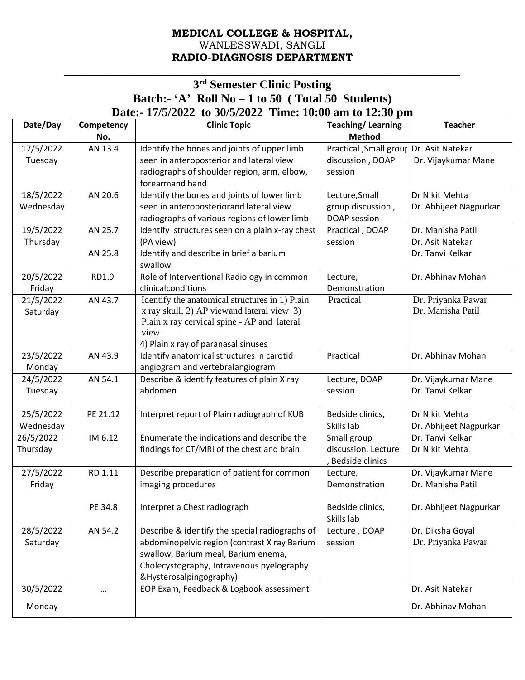## **MEDICAL COLLEGE & HOSPITAL,** WANLESSWADI, SANGLI **RADIO-DIAGNOSIS DEPARTMENT**

## **3 rd Semester Clinic Posting Batch:- 'A' Roll No – 1 to 50 ( Total 50 Students) Date:- 17/5/2022 to 30/5/2022 Time: 10:00 am to 12:30 pm**

\_\_\_\_\_\_\_\_\_\_\_\_\_\_\_\_\_\_\_\_\_\_\_\_\_\_\_\_\_\_\_\_\_\_\_\_\_\_\_\_\_\_\_\_\_\_\_\_\_\_\_\_\_\_\_\_\_\_\_\_\_\_\_\_\_\_

| Date/Day  | Competency<br>No. | <b>Clinic Topic</b>                             | <b>Teaching/Learning</b><br><b>Method</b> | <b>Teacher</b>         |
|-----------|-------------------|-------------------------------------------------|-------------------------------------------|------------------------|
| 17/5/2022 | AN 13.4           | Identify the bones and joints of upper limb     | Practical , Small group                   | Dr. Asit Natekar       |
| Tuesday   |                   | seen in anteroposterior and lateral view        | discussion, DOAP                          | Dr. Vijaykumar Mane    |
|           |                   | radiographs of shoulder region, arm, elbow,     | session                                   |                        |
|           |                   | forearmand hand                                 |                                           |                        |
| 18/5/2022 | AN 20.6           | Identify the bones and joints of lower limb     | Lecture, Small                            | Dr Nikit Mehta         |
| Wednesday |                   | seen in anteroposteriorand lateral view         | group discussion,                         | Dr. Abhijeet Nagpurkar |
|           |                   | radiographs of various regions of lower limb    | DOAP session                              |                        |
| 19/5/2022 | AN 25.7           | Identify structures seen on a plain x-ray chest | Practical, DOAP                           | Dr. Manisha Patil      |
| Thursday  |                   | (PA view)                                       | session                                   | Dr. Asit Natekar       |
|           | AN 25.8           | Identify and describe in brief a barium         |                                           | Dr. Tanvi Kelkar       |
|           |                   | swallow                                         |                                           |                        |
| 20/5/2022 | RD1.9             | Role of Interventional Radiology in common      | Lecture,                                  | Dr. Abhinav Mohan      |
| Friday    |                   | clinicalconditions                              | Demonstration                             |                        |
| 21/5/2022 | AN 43.7           | Identify the anatomical structures in 1) Plain  | Practical                                 | Dr. Priyanka Pawar     |
| Saturday  |                   | x ray skull, 2) AP viewand lateral view 3)      |                                           | Dr. Manisha Patil      |
|           |                   | Plain x ray cervical spine - AP and lateral     |                                           |                        |
|           |                   | view                                            |                                           |                        |
|           |                   | 4) Plain x ray of paranasal sinuses             |                                           |                        |
| 23/5/2022 | AN 43.9           | Identify anatomical structures in carotid       | Practical                                 | Dr. Abhinav Mohan      |
| Monday    |                   | angiogram and vertebralangiogram                |                                           |                        |
| 24/5/2022 | AN 54.1           | Describe & identify features of plain X ray     | Lecture, DOAP                             | Dr. Vijaykumar Mane    |
| Tuesday   |                   | abdomen                                         | session                                   | Dr. Tanvi Kelkar       |
| 25/5/2022 | PE 21.12          | Interpret report of Plain radiograph of KUB     | Bedside clinics,                          | Dr Nikit Mehta         |
| Wednesday |                   |                                                 | Skills lab                                | Dr. Abhijeet Nagpurkar |
| 26/5/2022 | IM 6.12           | Enumerate the indications and describe the      | Small group                               | Dr. Tanvi Kelkar       |
| Thursday  |                   | findings for CT/MRI of the chest and brain.     | discussion. Lecture                       | Dr Nikit Mehta         |
|           |                   |                                                 | , Bedside clinics                         |                        |
| 27/5/2022 | RD 1.11           | Describe preparation of patient for common      | Lecture,                                  | Dr. Vijaykumar Mane    |
| Friday    |                   | imaging procedures                              | Demonstration                             | Dr. Manisha Patil      |
|           |                   |                                                 |                                           |                        |
|           | PE 34.8           | Interpret a Chest radiograph                    | Bedside clinics,                          | Dr. Abhijeet Nagpurkar |
|           |                   |                                                 | Skills lab                                |                        |
| 28/5/2022 | AN 54.2           | Describe & identify the special radiographs of  | Lecture, DOAP                             | Dr. Diksha Goyal       |
| Saturday  |                   | abdominopelvic region (contrast X ray Barium    | session                                   | Dr. Priyanka Pawar     |
|           |                   | swallow, Barium meal, Barium enema,             |                                           |                        |
|           |                   | Cholecystography, Intravenous pyelography       |                                           |                        |
|           |                   | &Hysterosalpingography)                         |                                           |                        |
| 30/5/2022 | $\cdots$          | EOP Exam, Feedback & Logbook assessment         |                                           | Dr. Asit Natekar       |
| Monday    |                   |                                                 |                                           | Dr. Abhinav Mohan      |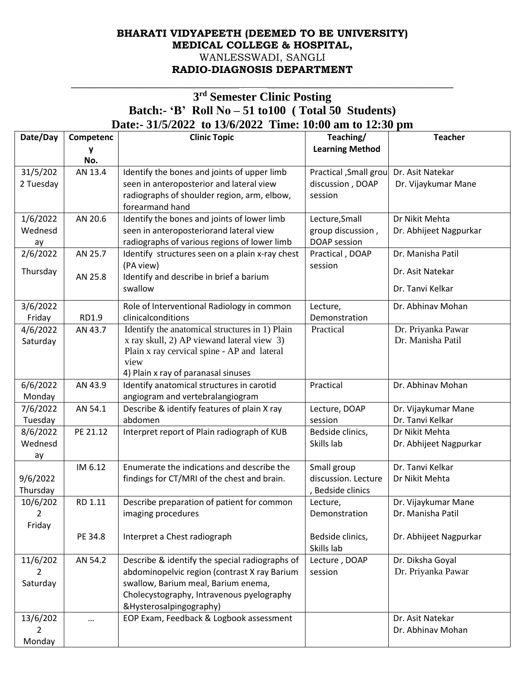## **BHARATI VIDYAPEETH (DEEMED TO BE UNIVERSITY) MEDICAL COLLEGE & HOSPITAL,** WANLESSWADI, SANGLI **RADIO-DIAGNOSIS DEPARTMENT**

## **3 rd Semester Clinic Posting Batch:- 'B' Roll No – 51 to100 ( Total 50 Students) Date:- 31/5/2022 to 13/6/2022 Time: 10:00 am to 12:30 pm**

 $\overline{\phantom{a}}$  , and the contribution of the contribution of the contribution of the contribution of the contribution of the contribution of the contribution of the contribution of the contribution of the contribution of the

| Date/Day             | Competenc | <b>Clinic Topic</b>                             | Teaching/                          | <b>Teacher</b>         |
|----------------------|-----------|-------------------------------------------------|------------------------------------|------------------------|
|                      | у         |                                                 | <b>Learning Method</b>             |                        |
|                      | No.       |                                                 |                                    |                        |
| 31/5/202             | AN 13.4   | Identify the bones and joints of upper limb     | <b>Practical</b> , Small grou      | Dr. Asit Natekar       |
| 2 Tuesday            |           | seen in anteroposterior and lateral view        | discussion, DOAP                   | Dr. Vijaykumar Mane    |
|                      |           | radiographs of shoulder region, arm, elbow,     | session                            |                        |
|                      |           | forearmand hand                                 |                                    |                        |
| 1/6/2022             | AN 20.6   | Identify the bones and joints of lower limb     | Lecture, Small                     | Dr Nikit Mehta         |
| Wednesd              |           | seen in anteroposteriorand lateral view         | group discussion,                  | Dr. Abhijeet Nagpurkar |
| ay                   |           | radiographs of various regions of lower limb    | DOAP session                       |                        |
| 2/6/2022             | AN 25.7   | Identify structures seen on a plain x-ray chest | Practical, DOAP                    | Dr. Manisha Patil      |
| Thursday             |           | (PA view)                                       | session                            | Dr. Asit Natekar       |
|                      | AN 25.8   | Identify and describe in brief a barium         |                                    |                        |
|                      |           | swallow                                         |                                    | Dr. Tanvi Kelkar       |
| 3/6/2022             |           | Role of Interventional Radiology in common      | Lecture,                           | Dr. Abhinav Mohan      |
| Friday               | RD1.9     | clinicalconditions                              | Demonstration                      |                        |
| 4/6/2022             | AN 43.7   | Identify the anatomical structures in 1) Plain  | Practical                          | Dr. Priyanka Pawar     |
| Saturday             |           | x ray skull, 2) AP viewand lateral view 3)      |                                    | Dr. Manisha Patil      |
|                      |           | Plain x ray cervical spine - AP and lateral     |                                    |                        |
|                      |           | view                                            |                                    |                        |
|                      |           | 4) Plain x ray of paranasal sinuses             |                                    |                        |
| 6/6/2022             | AN 43.9   | Identify anatomical structures in carotid       | Practical                          | Dr. Abhinav Mohan      |
| Monday               |           | angiogram and vertebralangiogram                |                                    |                        |
| 7/6/2022             | AN 54.1   | Describe & identify features of plain X ray     | Lecture, DOAP                      | Dr. Vijaykumar Mane    |
| Tuesday              |           | abdomen                                         | session                            | Dr. Tanvi Kelkar       |
| 8/6/2022             | PE 21.12  | Interpret report of Plain radiograph of KUB     | Bedside clinics,                   | Dr Nikit Mehta         |
| Wednesd              |           |                                                 | Skills lab                         | Dr. Abhijeet Nagpurkar |
| ay                   |           |                                                 |                                    | Dr. Tanvi Kelkar       |
|                      | IM 6.12   | Enumerate the indications and describe the      | Small group<br>discussion. Lecture | Dr Nikit Mehta         |
| 9/6/2022             |           | findings for CT/MRI of the chest and brain.     | <b>Bedside clinics</b>             |                        |
| Thursday<br>10/6/202 | RD 1.11   | Describe preparation of patient for common      | Lecture,                           | Dr. Vijaykumar Mane    |
| 2                    |           |                                                 |                                    | Dr. Manisha Patil      |
| Friday               |           | imaging procedures                              | Demonstration                      |                        |
|                      | PE 34.8   | Interpret a Chest radiograph                    | Bedside clinics,                   | Dr. Abhijeet Nagpurkar |
|                      |           |                                                 | Skills lab                         |                        |
| 11/6/202             | AN 54.2   | Describe & identify the special radiographs of  | Lecture, DOAP                      | Dr. Diksha Goyal       |
| 2                    |           | abdominopelvic region (contrast X ray Barium    | session                            | Dr. Priyanka Pawar     |
| Saturday             |           | swallow, Barium meal, Barium enema,             |                                    |                        |
|                      |           | Cholecystography, Intravenous pyelography       |                                    |                        |
|                      |           | &Hysterosalpingography)                         |                                    |                        |
| 13/6/202             |           | EOP Exam, Feedback & Logbook assessment         |                                    | Dr. Asit Natekar       |
| 2                    |           |                                                 |                                    | Dr. Abhinav Mohan      |
| Monday               |           |                                                 |                                    |                        |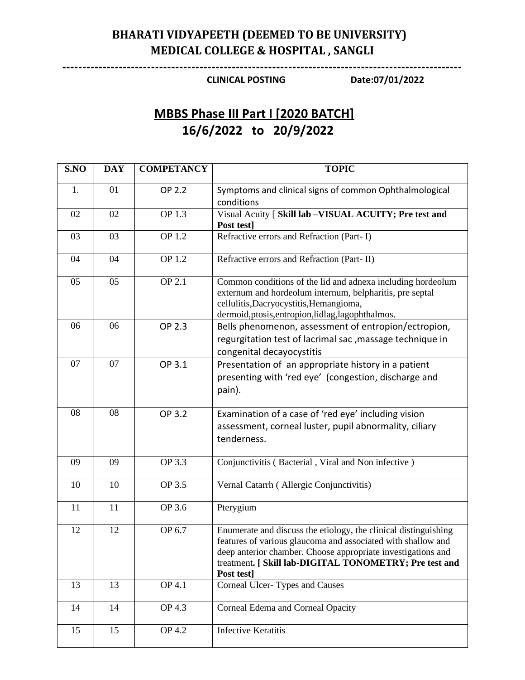# **BHARATI VIDYAPEETH (DEEMED TO BE UNIVERSITY) MEDICAL COLLEGE & HOSPITAL , SANGLI**

**---------------------------------------------------------------------------------------------------**

### **CLINICAL POSTING Date:07/01/2022**

# **MBBS Phase III Part I [2020 BATCH] 16/6/2022 to 20/9/2022**

| S.NO | <b>DAY</b> | <b>COMPETANCY</b> | <b>TOPIC</b>                                                                                                                                                                                                                                                            |
|------|------------|-------------------|-------------------------------------------------------------------------------------------------------------------------------------------------------------------------------------------------------------------------------------------------------------------------|
| 1.   | 01         | OP 2.2            | Symptoms and clinical signs of common Ophthalmological<br>conditions                                                                                                                                                                                                    |
| 02   | 02         | OP 1.3            | Visual Acuity [ Skill lab -VISUAL ACUITY; Pre test and<br>Post test]                                                                                                                                                                                                    |
| 03   | 03         | OP 1.2            | Refractive errors and Refraction (Part-I)                                                                                                                                                                                                                               |
| 04   | 04         | OP 1.2            | Refractive errors and Refraction (Part-II)                                                                                                                                                                                                                              |
| 05   | 05         | OP 2.1            | Common conditions of the lid and adnexa including hordeolum<br>externum and hordeolum internum, belpharitis, pre septal<br>cellulitis, Dacryocystitis, Hemangioma,<br>dermoid, ptosis, entropion, lidlag, lagophthalmos.                                                |
| 06   | 06         | OP 2.3            | Bells phenomenon, assessment of entropion/ectropion,<br>regurgitation test of lacrimal sac, massage technique in<br>congenital decayocystitis                                                                                                                           |
| 07   | 07         | OP 3.1            | Presentation of an appropriate history in a patient<br>presenting with 'red eye' (congestion, discharge and<br>pain).                                                                                                                                                   |
| 08   | 08         | OP 3.2            | Examination of a case of 'red eye' including vision<br>assessment, corneal luster, pupil abnormality, ciliary<br>tenderness.                                                                                                                                            |
| 09   | 09         | OP 3.3            | Conjunctivitis (Bacterial, Viral and Non infective)                                                                                                                                                                                                                     |
| 10   | 10         | OP 3.5            | Vernal Catarrh (Allergic Conjunctivitis)                                                                                                                                                                                                                                |
| 11   | 11         | OP 3.6            | Pterygium                                                                                                                                                                                                                                                               |
| 12   | 12         | OP 6.7            | Enumerate and discuss the etiology, the clinical distinguishing<br>features of various glaucoma and associated with shallow and<br>deep anterior chamber. Choose appropriate investigations and<br>treatment. [ Skill lab-DIGITAL TONOMETRY; Pre test and<br>Post test] |
| 13   | 13         | OP 4.1            | Corneal Ulcer-Types and Causes                                                                                                                                                                                                                                          |
| 14   | 14         | OP 4.3            | Corneal Edema and Corneal Opacity                                                                                                                                                                                                                                       |
| 15   | 15         | OP 4.2            | <b>Infective Keratitis</b>                                                                                                                                                                                                                                              |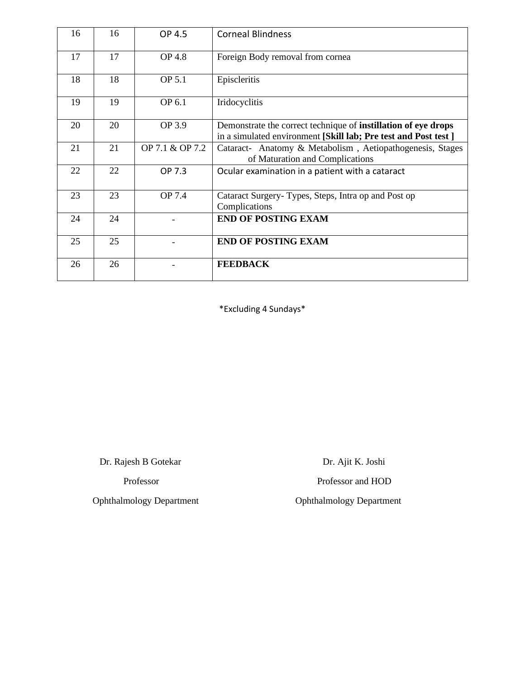| 16 | 16 | OP 4.5          | <b>Corneal Blindness</b>                                                                                                                 |
|----|----|-----------------|------------------------------------------------------------------------------------------------------------------------------------------|
| 17 | 17 | <b>OP 4.8</b>   | Foreign Body removal from cornea                                                                                                         |
| 18 | 18 | OP 5.1          | Episcleritis                                                                                                                             |
| 19 | 19 | OP 6.1          | Iridocyclitis                                                                                                                            |
| 20 | 20 | OP 3.9          | Demonstrate the correct technique of <b>instillation</b> of eye drops<br>in a simulated environment [Skill lab; Pre test and Post test ] |
| 21 | 21 | OP 7.1 & OP 7.2 | Cataract- Anatomy & Metabolism, Aetiopathogenesis, Stages<br>of Maturation and Complications                                             |
| 22 | 22 | OP 7.3          | Ocular examination in a patient with a cataract                                                                                          |
| 23 | 23 | <b>OP</b> 7.4   | Cataract Surgery-Types, Steps, Intra op and Post op<br>Complications                                                                     |
| 24 | 24 |                 | <b>END OF POSTING EXAM</b>                                                                                                               |
| 25 | 25 |                 | <b>END OF POSTING EXAM</b>                                                                                                               |
| 26 | 26 |                 | <b>FEEDBACK</b>                                                                                                                          |

\*Excluding 4 Sundays\*

Dr. Rajesh B Gotekar Dr. Ajit K. Joshi

Ophthalmology Department Ophthalmology Department

Professor Professor and HOD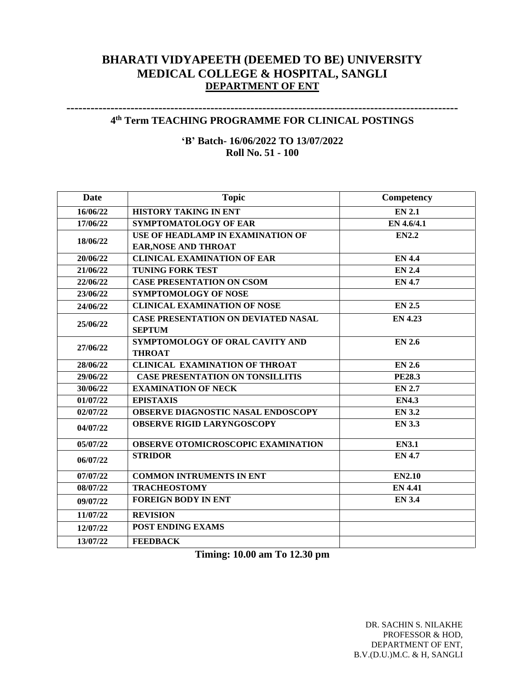## **BHARATI VIDYAPEETH (DEEMED TO BE) UNIVERSITY MEDICAL COLLEGE & HOSPITAL, SANGLI DEPARTMENT OF ENT**

### **-------------------------------------------------------------------------------------------------- 4 th Term TEACHING PROGRAMME FOR CLINICAL POSTINGS**

**'B' Batch- 16/06/2022 TO 13/07/2022 Roll No. 51 - 100**

| Date     | <b>Topic</b>                               | Competency     |
|----------|--------------------------------------------|----------------|
| 16/06/22 | HISTORY TAKING IN ENT                      | <b>EN 2.1</b>  |
| 17/06/22 | <b>SYMPTOMATOLOGY OF EAR</b>               | EN 4.6/4.1     |
| 18/06/22 | <b>USE OF HEADLAMP IN EXAMINATION OF</b>   | <b>EN2.2</b>   |
|          | <b>EAR, NOSE AND THROAT</b>                |                |
| 20/06/22 | <b>CLINICAL EXAMINATION OF EAR</b>         | <b>EN 4.4</b>  |
| 21/06/22 | <b>TUNING FORK TEST</b>                    | <b>EN 2.4</b>  |
| 22/06/22 | <b>CASE PRESENTATION ON CSOM</b>           | <b>EN 4.7</b>  |
| 23/06/22 | <b>SYMPTOMOLOGY OF NOSE</b>                |                |
| 24/06/22 | <b>CLINICAL EXAMINATION OF NOSE</b>        | <b>EN 2.5</b>  |
| 25/06/22 | <b>CASE PRESENTATION ON DEVIATED NASAL</b> | <b>EN 4.23</b> |
|          | <b>SEPTUM</b>                              |                |
| 27/06/22 | SYMPTOMOLOGY OF ORAL CAVITY AND            | <b>EN 2.6</b>  |
|          | <b>THROAT</b>                              |                |
| 28/06/22 | <b>CLINICAL EXAMINATION OF THROAT</b>      | <b>EN 2.6</b>  |
| 29/06/22 | <b>CASE PRESENTATION ON TONSILLITIS</b>    | <b>PE28.3</b>  |
| 30/06/22 | <b>EXAMINATION OF NECK</b>                 | <b>EN 2.7</b>  |
| 01/07/22 | <b>EPISTAXIS</b>                           | <b>EN4.3</b>   |
| 02/07/22 | <b>OBSERVE DIAGNOSTIC NASAL ENDOSCOPY</b>  | <b>EN 3.2</b>  |
| 04/07/22 | <b>OBSERVE RIGID LARYNGOSCOPY</b>          | <b>EN 3.3</b>  |
| 05/07/22 | <b>OBSERVE OTOMICROSCOPIC EXAMINATION</b>  | <b>EN3.1</b>   |
| 06/07/22 | <b>STRIDOR</b>                             | <b>EN 4.7</b>  |
| 07/07/22 | <b>COMMON INTRUMENTS IN ENT</b>            | <b>EN2.10</b>  |
| 08/07/22 | <b>TRACHEOSTOMY</b>                        | <b>EN 4.41</b> |
| 09/07/22 | <b>FOREIGN BODY IN ENT</b>                 | <b>EN 3.4</b>  |
| 11/07/22 | <b>REVISION</b>                            |                |
| 12/07/22 | <b>POST ENDING EXAMS</b>                   |                |
| 13/07/22 | <b>FEEDBACK</b>                            |                |

**Timing: 10.00 am To 12.30 pm**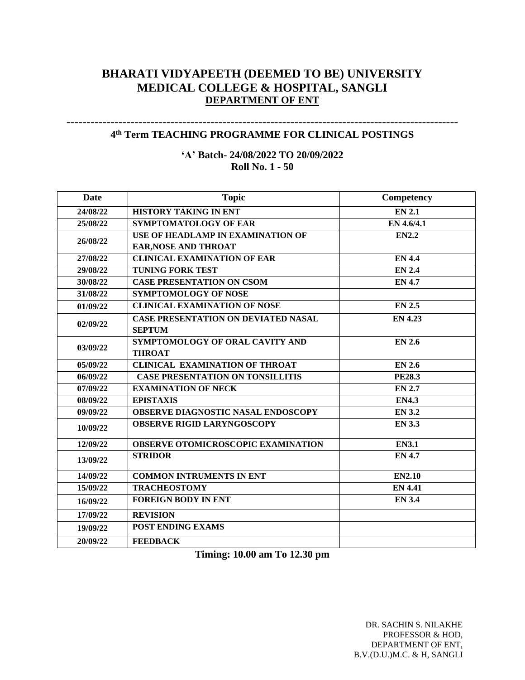## **BHARATI VIDYAPEETH (DEEMED TO BE) UNIVERSITY MEDICAL COLLEGE & HOSPITAL, SANGLI DEPARTMENT OF ENT**

### **-------------------------------------------------------------------------------------------------- 4 th Term TEACHING PROGRAMME FOR CLINICAL POSTINGS**

**'A' Batch- 24/08/2022 TO 20/09/2022 Roll No. 1 - 50**

| Date                 | <b>Topic</b>                               | Competency     |
|----------------------|--------------------------------------------|----------------|
| 24/08/22             | <b>HISTORY TAKING IN ENT</b>               | <b>EN 2.1</b>  |
| 25/08/22             | SYMPTOMATOLOGY OF EAR                      | EN 4.6/4.1     |
| 26/08/22             | USE OF HEADLAMP IN EXAMINATION OF          | <b>EN2.2</b>   |
|                      | <b>EAR, NOSE AND THROAT</b>                |                |
| 27/08/22             | <b>CLINICAL EXAMINATION OF EAR</b>         | <b>EN 4.4</b>  |
| 29/08/22             | <b>TUNING FORK TEST</b>                    | <b>EN 2.4</b>  |
| 30/08/22             | <b>CASE PRESENTATION ON CSOM</b>           | <b>EN 4.7</b>  |
| 31/08/22             | <b>SYMPTOMOLOGY OF NOSE</b>                |                |
| 01/09/22             | <b>CLINICAL EXAMINATION OF NOSE</b>        | <b>EN 2.5</b>  |
| 02/09/22             | <b>CASE PRESENTATION ON DEVIATED NASAL</b> | <b>EN 4.23</b> |
|                      | <b>SEPTUM</b>                              |                |
| 03/09/22             | SYMPTOMOLOGY OF ORAL CAVITY AND            | <b>EN 2.6</b>  |
|                      | <b>THROAT</b>                              |                |
| 05/09/22             | <b>CLINICAL EXAMINATION OF THROAT</b>      | <b>EN 2.6</b>  |
| $\frac{1}{0}6/09/22$ | <b>CASE PRESENTATION ON TONSILLITIS</b>    | <b>PE28.3</b>  |
| 07/09/22             | <b>EXAMINATION OF NECK</b>                 | <b>EN 2.7</b>  |
| 08/09/22             | <b>EPISTAXIS</b>                           | <b>EN4.3</b>   |
| 09/09/22             | <b>OBSERVE DIAGNOSTIC NASAL ENDOSCOPY</b>  | <b>EN 3.2</b>  |
| 10/09/22             | <b>OBSERVE RIGID LARYNGOSCOPY</b>          | <b>EN 3.3</b>  |
| 12/09/22             | OBSERVE OTOMICROSCOPIC EXAMINATION         | <b>EN3.1</b>   |
| 13/09/22             | <b>STRIDOR</b>                             | <b>EN 4.7</b>  |
| 14/09/22             | <b>COMMON INTRUMENTS IN ENT</b>            | <b>EN2.10</b>  |
| 15/09/22             | <b>TRACHEOSTOMY</b>                        | <b>EN 4.41</b> |
| 16/09/22             | <b>FOREIGN BODY IN ENT</b>                 | <b>EN 3.4</b>  |
| 17/09/22             | <b>REVISION</b>                            |                |
| 19/09/22             | <b>POST ENDING EXAMS</b>                   |                |
| 20/09/22             | <b>FEEDBACK</b>                            |                |

**Timing: 10.00 am To 12.30 pm**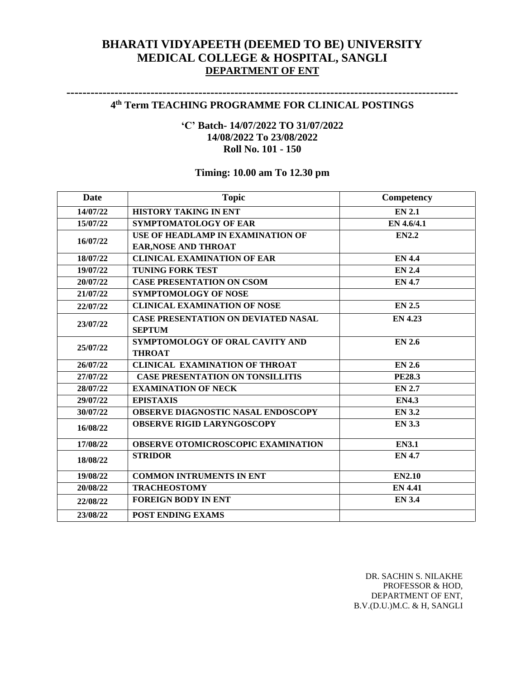## **BHARATI VIDYAPEETH (DEEMED TO BE) UNIVERSITY MEDICAL COLLEGE & HOSPITAL, SANGLI DEPARTMENT OF ENT**

### **-------------------------------------------------------------------------------------------------- 4 th Term TEACHING PROGRAMME FOR CLINICAL POSTINGS**

### **'C' Batch- 14/07/2022 TO 31/07/2022 14/08/2022 To 23/08/2022 Roll No. 101 - 150**

## **Timing: 10.00 am To 12.30 pm**

| Date     | <b>Topic</b>                               | Competency     |
|----------|--------------------------------------------|----------------|
| 14/07/22 | <b>HISTORY TAKING IN ENT</b>               | <b>EN 2.1</b>  |
| 15/07/22 | <b>SYMPTOMATOLOGY OF EAR</b>               | EN 4.6/4.1     |
| 16/07/22 | USE OF HEADLAMP IN EXAMINATION OF          | <b>EN2.2</b>   |
|          | EAR, NOSE AND THROAT                       |                |
| 18/07/22 | <b>CLINICAL EXAMINATION OF EAR</b>         | <b>EN 4.4</b>  |
| 19/07/22 | <b>TUNING FORK TEST</b>                    | <b>EN 2.4</b>  |
| 20/07/22 | <b>CASE PRESENTATION ON CSOM</b>           | <b>EN 4.7</b>  |
| 21/07/22 | <b>SYMPTOMOLOGY OF NOSE</b>                |                |
| 22/07/22 | <b>CLINICAL EXAMINATION OF NOSE</b>        | <b>EN 2.5</b>  |
| 23/07/22 | <b>CASE PRESENTATION ON DEVIATED NASAL</b> | <b>EN 4.23</b> |
|          | <b>SEPTUM</b>                              |                |
| 25/07/22 | SYMPTOMOLOGY OF ORAL CAVITY AND            | <b>EN 2.6</b>  |
|          | <b>THROAT</b>                              |                |
| 26/07/22 | <b>CLINICAL EXAMINATION OF THROAT</b>      | <b>EN 2.6</b>  |
| 27/07/22 | <b>CASE PRESENTATION ON TONSILLITIS</b>    | <b>PE28.3</b>  |
| 28/07/22 | <b>EXAMINATION OF NECK</b>                 | <b>EN 2.7</b>  |
| 29/07/22 | <b>EPISTAXIS</b>                           | <b>EN4.3</b>   |
| 30/07/22 | OBSERVE DIAGNOSTIC NASAL ENDOSCOPY         | <b>EN 3.2</b>  |
| 16/08/22 | <b>OBSERVE RIGID LARYNGOSCOPY</b>          | <b>EN 3.3</b>  |
| 17/08/22 | <b>OBSERVE OTOMICROSCOPIC EXAMINATION</b>  | <b>EN3.1</b>   |
| 18/08/22 | <b>STRIDOR</b>                             | <b>EN 4.7</b>  |
| 19/08/22 | <b>COMMON INTRUMENTS IN ENT</b>            | <b>EN2.10</b>  |
| 20/08/22 | <b>TRACHEOSTOMY</b>                        | <b>EN 4.41</b> |
| 22/08/22 | <b>FOREIGN BODY IN ENT</b>                 | <b>EN 3.4</b>  |
| 23/08/22 | <b>POST ENDING EXAMS</b>                   |                |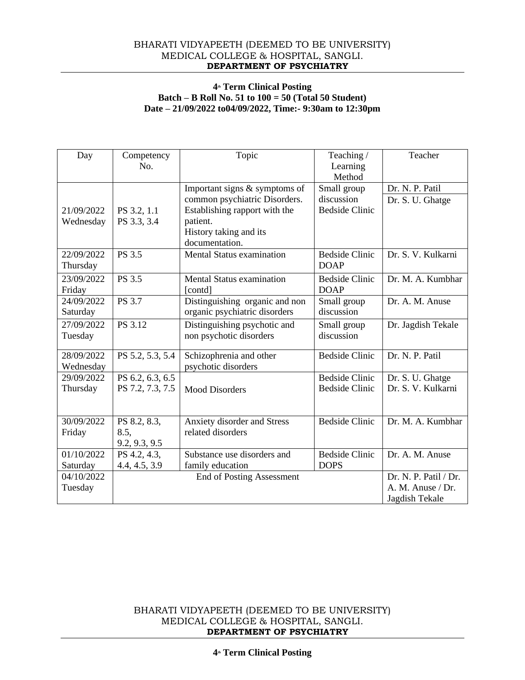#### BHARATI VIDYAPEETH (DEEMED TO BE UNIVERSITY) MEDICAL COLLEGE & HOSPITAL, SANGLI. **DEPARTMENT OF PSYCHIATRY**

#### **4th Term Clinical Posting Batch – B Roll No. 51 to 100 = 50 (Total 50 Student) Date – 21/09/2022 to04/09/2022, Time:- 9:30am to 12:30pm**

| Day                     | Competency<br>No.                     | Topic                                                                                                                                                   | Teaching/<br>Learning<br>Method                    | Teacher                                                      |
|-------------------------|---------------------------------------|---------------------------------------------------------------------------------------------------------------------------------------------------------|----------------------------------------------------|--------------------------------------------------------------|
| 21/09/2022<br>Wednesday | PS 3.2, 1.1<br>PS 3.3, 3.4            | Important signs & symptoms of<br>common psychiatric Disorders.<br>Establishing rapport with the<br>patient.<br>History taking and its<br>documentation. | Small group<br>discussion<br><b>Bedside Clinic</b> | Dr. N. P. Patil<br>Dr. S. U. Ghatge                          |
| 22/09/2022<br>Thursday  | PS 3.5                                | <b>Mental Status examination</b>                                                                                                                        | <b>Bedside Clinic</b><br><b>DOAP</b>               | Dr. S. V. Kulkarni                                           |
| 23/09/2022<br>Friday    | <b>PS 3.5</b>                         | <b>Mental Status examination</b><br>[contd]                                                                                                             | <b>Bedside Clinic</b><br><b>DOAP</b>               | Dr. M. A. Kumbhar                                            |
| 24/09/2022<br>Saturday  | PS 3.7                                | Distinguishing organic and non<br>organic psychiatric disorders                                                                                         | Small group<br>discussion                          | Dr. A. M. Anuse                                              |
| 27/09/2022<br>Tuesday   | PS 3.12                               | Distinguishing psychotic and<br>non psychotic disorders                                                                                                 | Small group<br>discussion                          | Dr. Jagdish Tekale                                           |
| 28/09/2022<br>Wednesday | PS 5.2, 5.3, 5.4                      | Schizophrenia and other<br>psychotic disorders                                                                                                          | <b>Bedside Clinic</b>                              | Dr. N. P. Patil                                              |
| 29/09/2022<br>Thursday  | PS 6.2, 6.3, 6.5<br>PS 7.2, 7.3, 7.5  | <b>Mood Disorders</b>                                                                                                                                   | <b>Bedside Clinic</b><br><b>Bedside Clinic</b>     | Dr. S. U. Ghatge<br>Dr. S. V. Kulkarni                       |
| 30/09/2022<br>Friday    | PS 8.2, 8.3,<br>8.5,<br>9.2, 9.3, 9.5 | Anxiety disorder and Stress<br>related disorders                                                                                                        | <b>Bedside Clinic</b>                              | Dr. M. A. Kumbhar                                            |
| 01/10/2022<br>Saturday  | PS 4.2, 4.3,<br>4.4, 4.5, 3.9         | Substance use disorders and<br>family education                                                                                                         | <b>Bedside Clinic</b><br><b>DOPS</b>               | Dr. A. M. Anuse                                              |
| 04/10/2022<br>Tuesday   |                                       | <b>End of Posting Assessment</b>                                                                                                                        |                                                    | Dr. N. P. Patil / Dr.<br>A. M. Anuse / Dr.<br>Jagdish Tekale |

BHARATI VIDYAPEETH (DEEMED TO BE UNIVERSITY) MEDICAL COLLEGE & HOSPITAL, SANGLI. **DEPARTMENT OF PSYCHIATRY**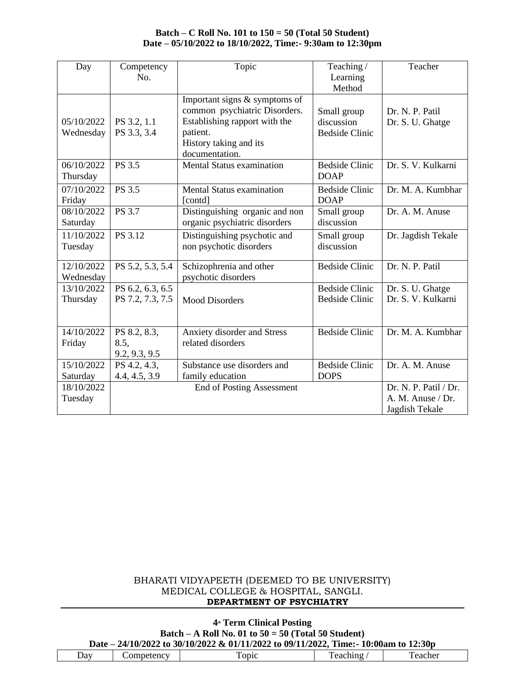#### **Batch – C Roll No. 101 to 150 = 50 (Total 50 Student) Date – 05/10/2022 to 18/10/2022, Time:- 9:30am to 12:30pm**

| Day                     | Competency<br>No.                     | Topic                                                                                                                                                   | Teaching /<br>Learning<br>Method                   | Teacher                                                      |
|-------------------------|---------------------------------------|---------------------------------------------------------------------------------------------------------------------------------------------------------|----------------------------------------------------|--------------------------------------------------------------|
| 05/10/2022<br>Wednesday | PS 3.2, 1.1<br>PS 3.3, 3.4            | Important signs & symptoms of<br>common psychiatric Disorders.<br>Establishing rapport with the<br>patient.<br>History taking and its<br>documentation. | Small group<br>discussion<br><b>Bedside Clinic</b> | Dr. N. P. Patil<br>Dr. S. U. Ghatge                          |
| 06/10/2022<br>Thursday  | PS 3.5                                | Mental Status examination                                                                                                                               | <b>Bedside Clinic</b><br><b>DOAP</b>               | Dr. S. V. Kulkarni                                           |
| 07/10/2022<br>Friday    | PS 3.5                                | <b>Mental Status examination</b><br>[contd]                                                                                                             | <b>Bedside Clinic</b><br><b>DOAP</b>               | Dr. M. A. Kumbhar                                            |
| 08/10/2022<br>Saturday  | <b>PS 3.7</b>                         | Distinguishing organic and non<br>organic psychiatric disorders                                                                                         | Small group<br>discussion                          | Dr. A. M. Anuse                                              |
| 11/10/2022<br>Tuesday   | PS 3.12                               | Distinguishing psychotic and<br>non psychotic disorders                                                                                                 | Small group<br>discussion                          | Dr. Jagdish Tekale                                           |
| 12/10/2022<br>Wednesday | PS 5.2, 5.3, 5.4                      | Schizophrenia and other<br>psychotic disorders                                                                                                          | <b>Bedside Clinic</b>                              | Dr. N. P. Patil                                              |
| 13/10/2022<br>Thursday  | PS 6.2, 6.3, 6.5<br>PS 7.2, 7.3, 7.5  | <b>Mood Disorders</b>                                                                                                                                   | <b>Bedside Clinic</b><br><b>Bedside Clinic</b>     | Dr. S. U. Ghatge<br>Dr. S. V. Kulkarni                       |
| 14/10/2022<br>Friday    | PS 8.2, 8.3,<br>8.5,<br>9.2, 9.3, 9.5 | Anxiety disorder and Stress<br>related disorders                                                                                                        | <b>Bedside Clinic</b>                              | Dr. M. A. Kumbhar                                            |
| 15/10/2022<br>Saturday  | PS 4.2, 4.3,<br>4.4, 4.5, 3.9         | Substance use disorders and<br>family education                                                                                                         | <b>Bedside Clinic</b><br><b>DOPS</b>               | Dr. A. M. Anuse                                              |
| 18/10/2022<br>Tuesday   |                                       | <b>End of Posting Assessment</b>                                                                                                                        |                                                    | Dr. N. P. Patil / Dr.<br>A. M. Anuse / Dr.<br>Jagdish Tekale |

#### BHARATI VIDYAPEETH (DEEMED TO BE UNIVERSITY) MEDICAL COLLEGE & HOSPITAL, SANGLI. **DEPARTMENT OF PSYCHIATRY**

#### **4th Term Clinical Posting Batch – A Roll No. 01 to 50 = 50 (Total 50 Student) Date – 24/10/2022 to 30/10/2022 & 01/11/2022 to 09/11/2022, Time:- 10:00am to 12:30p**

| $\Delta$ dv | $\alpha n \alpha t$<br>nei<br>etenc | onic | hino.<br>. 21 L | .<br>eacnei<br>⊶ ہ⊿.<br>. |
|-------------|-------------------------------------|------|-----------------|---------------------------|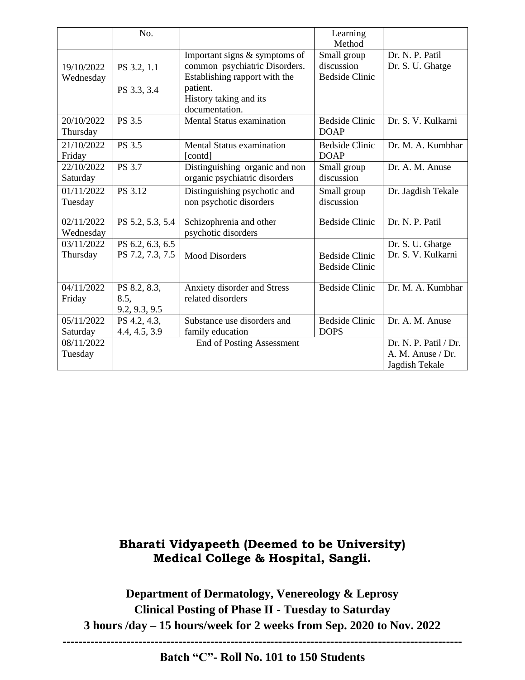|                         | No.                                   |                                                                                                 | Learning<br>Method                                 |                                                              |
|-------------------------|---------------------------------------|-------------------------------------------------------------------------------------------------|----------------------------------------------------|--------------------------------------------------------------|
| 19/10/2022<br>Wednesday | PS 3.2, 1.1                           | Important signs & symptoms of<br>common psychiatric Disorders.<br>Establishing rapport with the | Small group<br>discussion<br><b>Bedside Clinic</b> | Dr. N. P. Patil<br>Dr. S. U. Ghatge                          |
|                         | PS 3.3, 3.4                           | patient.<br>History taking and its<br>documentation.                                            |                                                    |                                                              |
| 20/10/2022<br>Thursday  | PS 3.5                                | Mental Status examination                                                                       | <b>Bedside Clinic</b><br><b>DOAP</b>               | Dr. S. V. Kulkarni                                           |
| 21/10/2022<br>Friday    | PS 3.5                                | <b>Mental Status examination</b><br>[contd]                                                     | <b>Bedside Clinic</b><br><b>DOAP</b>               | Dr. M. A. Kumbhar                                            |
| 22/10/2022<br>Saturday  | <b>PS</b> 3.7                         | Distinguishing organic and non<br>organic psychiatric disorders                                 | Small group<br>discussion                          | Dr. A. M. Anuse                                              |
| 01/11/2022<br>Tuesday   | PS 3.12                               | Distinguishing psychotic and<br>non psychotic disorders                                         | Small group<br>discussion                          | Dr. Jagdish Tekale                                           |
| 02/11/2022<br>Wednesday | PS 5.2, 5.3, 5.4                      | Schizophrenia and other<br>psychotic disorders                                                  | <b>Bedside Clinic</b>                              | Dr. N. P. Patil                                              |
| 03/11/2022<br>Thursday  | PS 6.2, 6.3, 6.5<br>PS 7.2, 7.3, 7.5  | <b>Mood Disorders</b>                                                                           | <b>Bedside Clinic</b><br><b>Bedside Clinic</b>     | Dr. S. U. Ghatge<br>Dr. S. V. Kulkarni                       |
| 04/11/2022<br>Friday    | PS 8.2, 8.3,<br>8.5,<br>9.2, 9.3, 9.5 | Anxiety disorder and Stress<br>related disorders                                                | <b>Bedside Clinic</b>                              | Dr. M. A. Kumbhar                                            |
| 05/11/2022<br>Saturday  | PS 4.2, 4.3,<br>4.4, 4.5, 3.9         | Substance use disorders and<br>family education                                                 | <b>Bedside Clinic</b><br><b>DOPS</b>               | Dr. A. M. Anuse                                              |
| 08/11/2022<br>Tuesday   |                                       | <b>End of Posting Assessment</b>                                                                |                                                    | Dr. N. P. Patil / Dr.<br>A. M. Anuse / Dr.<br>Jagdish Tekale |

# **Bharati Vidyapeeth (Deemed to be University) Medical College & Hospital, Sangli.**

**Department of Dermatology, Venereology & Leprosy Clinical Posting of Phase II - Tuesday to Saturday 3 hours /day – 15 hours/week for 2 weeks from Sep. 2020 to Nov. 2022**

**----------------------------------------------------------------------------------------------------**

**Batch "C"- Roll No. 101 to 150 Students**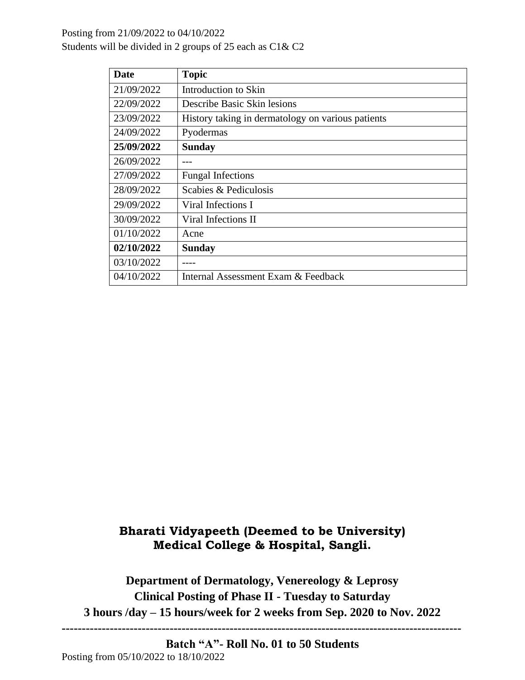## Posting from 21/09/2022 to 04/10/2022 Students will be divided in 2 groups of 25 each as C1& C2

| <b>Date</b> | <b>Topic</b>                                      |
|-------------|---------------------------------------------------|
| 21/09/2022  | Introduction to Skin                              |
| 22/09/2022  | Describe Basic Skin lesions                       |
| 23/09/2022  | History taking in dermatology on various patients |
| 24/09/2022  | Pyodermas                                         |
| 25/09/2022  | <b>Sunday</b>                                     |
| 26/09/2022  |                                                   |
| 27/09/2022  | <b>Fungal Infections</b>                          |
| 28/09/2022  | Scabies & Pediculosis                             |
| 29/09/2022  | Viral Infections I                                |
| 30/09/2022  | Viral Infections II                               |
| 01/10/2022  | Acne                                              |
| 02/10/2022  | <b>Sunday</b>                                     |
| 03/10/2022  |                                                   |
| 04/10/2022  | Internal Assessment Exam & Feedback               |

# **Bharati Vidyapeeth (Deemed to be University) Medical College & Hospital, Sangli.**

**Department of Dermatology, Venereology & Leprosy Clinical Posting of Phase II - Tuesday to Saturday 3 hours /day – 15 hours/week for 2 weeks from Sep. 2020 to Nov. 2022**

**----------------------------------------------------------------------------------------------------**

**Batch "A"- Roll No. 01 to 50 Students** Posting from 05/10/2022 to 18/10/2022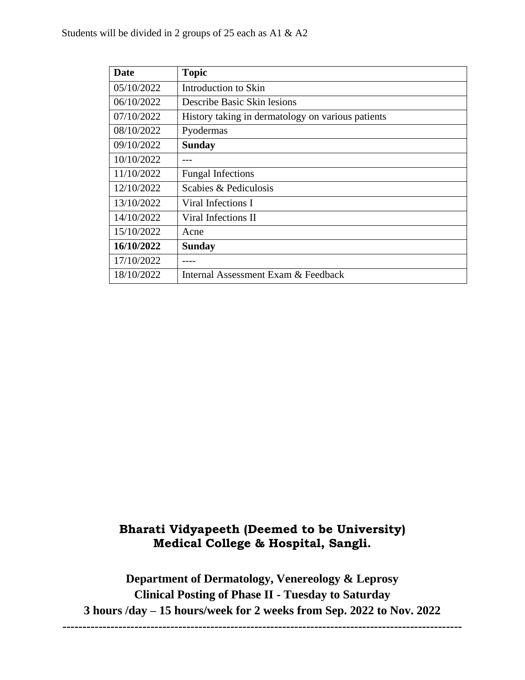| <b>Date</b> | <b>Topic</b>                                      |
|-------------|---------------------------------------------------|
| 05/10/2022  | Introduction to Skin                              |
| 06/10/2022  | Describe Basic Skin lesions                       |
| 07/10/2022  | History taking in dermatology on various patients |
| 08/10/2022  | Pyodermas                                         |
| 09/10/2022  | <b>Sunday</b>                                     |
| 10/10/2022  |                                                   |
| 11/10/2022  | <b>Fungal Infections</b>                          |
| 12/10/2022  | Scabies & Pediculosis                             |
| 13/10/2022  | Viral Infections I                                |
| 14/10/2022  | Viral Infections II                               |
| 15/10/2022  | Acne                                              |
| 16/10/2022  | <b>Sunday</b>                                     |
| 17/10/2022  |                                                   |
| 18/10/2022  | Internal Assessment Exam & Feedback               |

# **Bharati Vidyapeeth (Deemed to be University) Medical College & Hospital, Sangli.**

**Department of Dermatology, Venereology & Leprosy Clinical Posting of Phase II - Tuesday to Saturday 3 hours /day – 15 hours/week for 2 weeks from Sep. 2022 to Nov. 2022 ----------------------------------------------------------------------------------------------------**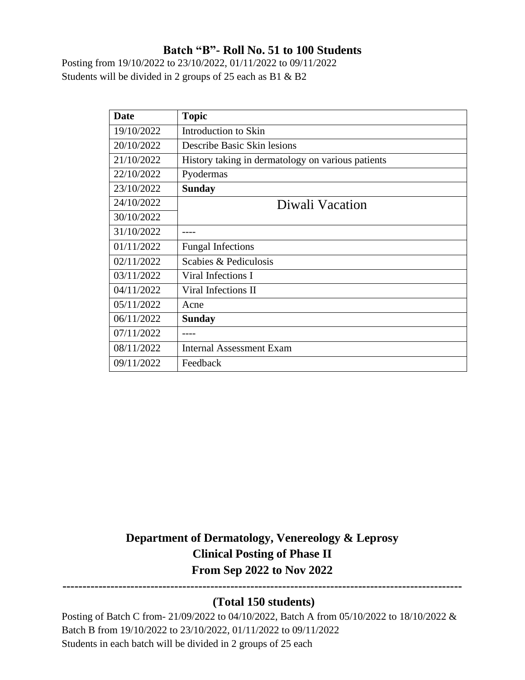## **Batch "B"- Roll No. 51 to 100 Students**

Posting from 19/10/2022 to 23/10/2022, 01/11/2022 to 09/11/2022 Students will be divided in 2 groups of 25 each as B1 & B2

| <b>Date</b> | <b>Topic</b>                                      |
|-------------|---------------------------------------------------|
| 19/10/2022  | Introduction to Skin                              |
| 20/10/2022  | Describe Basic Skin lesions                       |
| 21/10/2022  | History taking in dermatology on various patients |
| 22/10/2022  | Pyodermas                                         |
| 23/10/2022  | <b>Sunday</b>                                     |
| 24/10/2022  | Diwali Vacation                                   |
| 30/10/2022  |                                                   |
| 31/10/2022  |                                                   |
| 01/11/2022  | <b>Fungal Infections</b>                          |
| 02/11/2022  | Scabies & Pediculosis                             |
| 03/11/2022  | Viral Infections I                                |
| 04/11/2022  | Viral Infections II                               |
| 05/11/2022  | Acne                                              |
| 06/11/2022  | <b>Sunday</b>                                     |
| 07/11/2022  |                                                   |
| 08/11/2022  | <b>Internal Assessment Exam</b>                   |
| 09/11/2022  | Feedback                                          |

**Department of Dermatology, Venereology & Leprosy Clinical Posting of Phase II From Sep 2022 to Nov 2022**

## **(Total 150 students)**

**----------------------------------------------------------------------------------------------------**

Posting of Batch C from- 21/09/2022 to 04/10/2022, Batch A from 05/10/2022 to 18/10/2022 & Batch B from 19/10/2022 to 23/10/2022, 01/11/2022 to 09/11/2022 Students in each batch will be divided in 2 groups of 25 each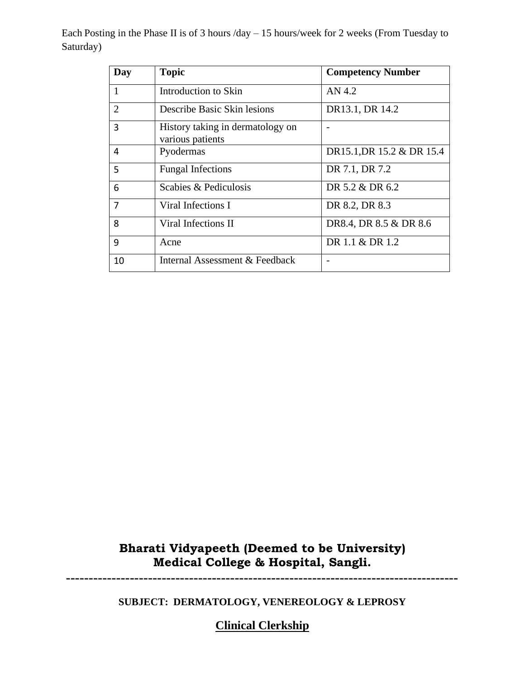Each Posting in the Phase II is of 3 hours /day – 15 hours/week for 2 weeks (From Tuesday to Saturday)

| Day            | <b>Topic</b>                                         | <b>Competency Number</b>  |
|----------------|------------------------------------------------------|---------------------------|
| 1              | Introduction to Skin                                 | AN 4.2                    |
| $\overline{2}$ | Describe Basic Skin lesions                          | DR13.1, DR 14.2           |
| 3              | History taking in dermatology on<br>various patients |                           |
| 4              | Pyodermas                                            | DR15.1, DR 15.2 & DR 15.4 |
| 5              | <b>Fungal Infections</b>                             | DR 7.1, DR 7.2            |
| 6              | Scabies & Pediculosis                                | DR 5.2 & DR 6.2           |
| $\overline{7}$ | Viral Infections I                                   | DR 8.2, DR 8.3            |
| 8              | Viral Infections II                                  | DR8.4, DR 8.5 & DR 8.6    |
| 9              | Acne                                                 | DR 1.1 & DR 1.2           |
| 10             | Internal Assessment & Feedback                       |                           |

# **Bharati Vidyapeeth (Deemed to be University) Medical College & Hospital, Sangli.**

**--------------------------------------------------------------------------------------**

**SUBJECT: DERMATOLOGY, VENEREOLOGY & LEPROSY**

**Clinical Clerkship**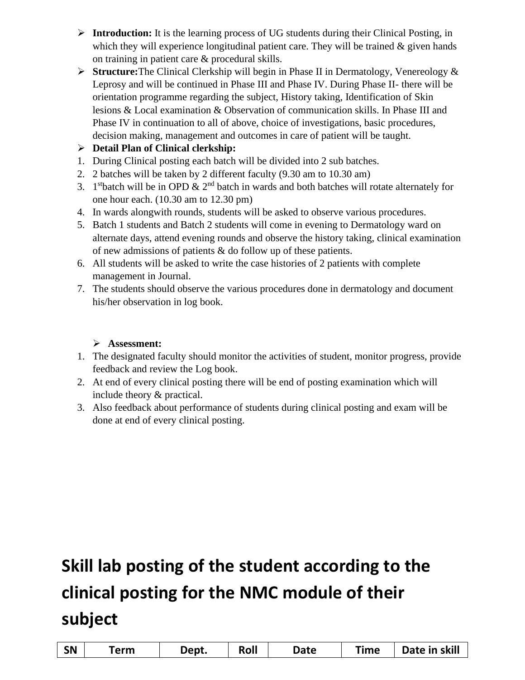- ➢ **Introduction:** It is the learning process of UG students during their Clinical Posting, in which they will experience longitudinal patient care. They will be trained  $\&$  given hands on training in patient care & procedural skills.
- ➢ **Structure:**The Clinical Clerkship will begin in Phase II in Dermatology, Venereology & Leprosy and will be continued in Phase III and Phase IV. During Phase II- there will be orientation programme regarding the subject, History taking, Identification of Skin lesions & Local examination & Observation of communication skills. In Phase III and Phase IV in continuation to all of above, choice of investigations, basic procedures, decision making, management and outcomes in care of patient will be taught.

## ➢ **Detail Plan of Clinical clerkship:**

- 1. During Clinical posting each batch will be divided into 2 sub batches.
- 2. 2 batches will be taken by 2 different faculty (9.30 am to 10.30 am)
- 3. 1<sup>st</sup>batch will be in OPD  $\&$  2<sup>nd</sup> batch in wards and both batches will rotate alternately for one hour each. (10.30 am to 12.30 pm)
- 4. In wards alongwith rounds, students will be asked to observe various procedures.
- 5. Batch 1 students and Batch 2 students will come in evening to Dermatology ward on alternate days, attend evening rounds and observe the history taking, clinical examination of new admissions of patients & do follow up of these patients.
- 6. All students will be asked to write the case histories of 2 patients with complete management in Journal.
- 7. The students should observe the various procedures done in dermatology and document his/her observation in log book.

## ➢ **Assessment:**

- 1. The designated faculty should monitor the activities of student, monitor progress, provide feedback and review the Log book.
- 2. At end of every clinical posting there will be end of posting examination which will include theory & practical.
- 3. Also feedback about performance of students during clinical posting and exam will be done at end of every clinical posting.

| <b>SN</b> | <b>Term</b> | Dept. | Roll | Date | Time | Date in skill |
|-----------|-------------|-------|------|------|------|---------------|
|-----------|-------------|-------|------|------|------|---------------|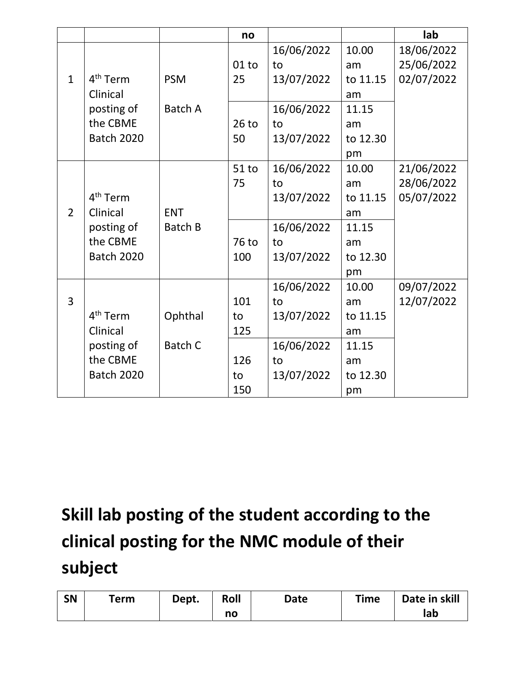|                |                      |                | no      |            |          | lab        |
|----------------|----------------------|----------------|---------|------------|----------|------------|
|                |                      |                |         | 16/06/2022 | 10.00    | 18/06/2022 |
|                |                      |                | $01$ to | to         | am       | 25/06/2022 |
| $\mathbf{1}$   | 4 <sup>th</sup> Term | <b>PSM</b>     | 25      | 13/07/2022 | to 11.15 | 02/07/2022 |
|                | Clinical             |                |         |            | am       |            |
|                | posting of           | Batch A        |         | 16/06/2022 | 11.15    |            |
|                | the CBME             |                | $26$ to | to         | am       |            |
|                | <b>Batch 2020</b>    |                | 50      | 13/07/2022 | to 12.30 |            |
|                |                      |                |         |            | pm       |            |
|                |                      |                | $51$ to | 16/06/2022 | 10.00    | 21/06/2022 |
|                |                      |                | 75      | to         | am       | 28/06/2022 |
|                | 4 <sup>th</sup> Term |                |         | 13/07/2022 | to 11.15 | 05/07/2022 |
| $\overline{2}$ | Clinical             | <b>ENT</b>     |         |            | am       |            |
|                | posting of           | Batch B        |         | 16/06/2022 | 11.15    |            |
|                | the CBME             |                | 76 to   | to         | am       |            |
|                | <b>Batch 2020</b>    |                | 100     | 13/07/2022 | to 12.30 |            |
|                |                      |                |         |            | pm       |            |
|                |                      |                |         | 16/06/2022 | 10.00    | 09/07/2022 |
| $\overline{3}$ |                      |                | 101     | to         | am       | 12/07/2022 |
|                | 4 <sup>th</sup> Term | Ophthal        | to      | 13/07/2022 | to 11.15 |            |
|                | Clinical             |                | 125     |            | am       |            |
|                | posting of           | <b>Batch C</b> |         | 16/06/2022 | 11.15    |            |
|                | the CBME             |                | 126     | to         | am       |            |
|                | <b>Batch 2020</b>    |                | to      | 13/07/2022 | to 12.30 |            |
|                |                      |                | 150     |            | pm       |            |

| <b>SN</b> | Term | Dept. | Roll | Date | <b>Time</b> | Date in skill |
|-----------|------|-------|------|------|-------------|---------------|
|           |      |       | no   |      |             | lab           |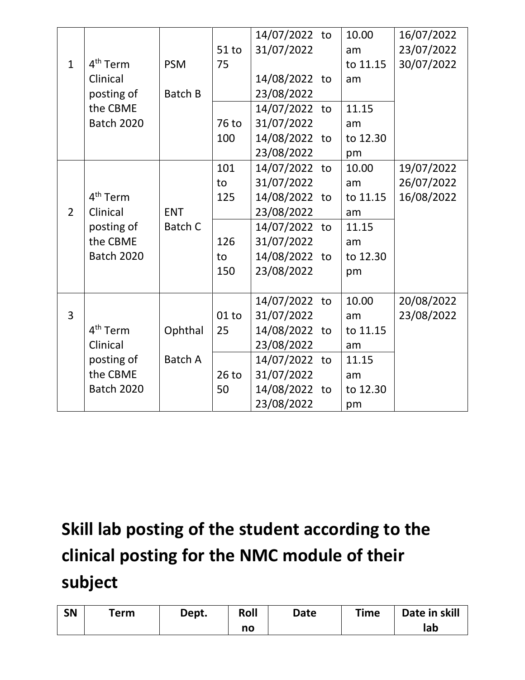|                |                      |                |         | 14/07/2022 to | 10.00    | 16/07/2022 |
|----------------|----------------------|----------------|---------|---------------|----------|------------|
|                |                      |                | $51$ to | 31/07/2022    | am       | 23/07/2022 |
| $\mathbf{1}$   | 4 <sup>th</sup> Term | <b>PSM</b>     | 75      |               | to 11.15 | 30/07/2022 |
|                | Clinical             |                |         | 14/08/2022 to | am       |            |
|                | posting of           | <b>Batch B</b> |         | 23/08/2022    |          |            |
|                | the CBME             |                |         | 14/07/2022 to | 11.15    |            |
|                | <b>Batch 2020</b>    |                | 76 to   | 31/07/2022    | am       |            |
|                |                      |                | 100     | 14/08/2022 to | to 12.30 |            |
|                |                      |                |         | 23/08/2022    | pm       |            |
|                |                      |                | 101     | 14/07/2022 to | 10.00    | 19/07/2022 |
|                |                      |                | to      | 31/07/2022    | am       | 26/07/2022 |
|                | 4 <sup>th</sup> Term |                | 125     | 14/08/2022 to | to 11.15 | 16/08/2022 |
| $\overline{2}$ | Clinical             | <b>ENT</b>     |         | 23/08/2022    | am       |            |
|                | posting of           | Batch C        |         | 14/07/2022 to | 11.15    |            |
|                | the CBME             |                | 126     | 31/07/2022    | am       |            |
|                | <b>Batch 2020</b>    |                | to      | 14/08/2022 to | to 12.30 |            |
|                |                      |                | 150     | 23/08/2022    | pm       |            |
|                |                      |                |         |               |          |            |
|                |                      |                |         | 14/07/2022 to | 10.00    | 20/08/2022 |
| 3              |                      |                | $01$ to | 31/07/2022    | am       | 23/08/2022 |
|                | 4 <sup>th</sup> Term | Ophthal        | 25      | 14/08/2022 to | to 11.15 |            |
|                | Clinical             |                |         | 23/08/2022    | am       |            |
|                | posting of           | Batch A        |         | 14/07/2022 to | 11.15    |            |
|                | the CBME             |                | $26$ to | 31/07/2022    | am       |            |
|                | <b>Batch 2020</b>    |                | 50      | 14/08/2022 to | to 12.30 |            |
|                |                      |                |         | 23/08/2022    | pm       |            |

| <b>SN</b> | Term | Dept. | Roll | Date | <b>Time</b> | Date in skill |
|-----------|------|-------|------|------|-------------|---------------|
|           |      |       | no   |      |             | lab           |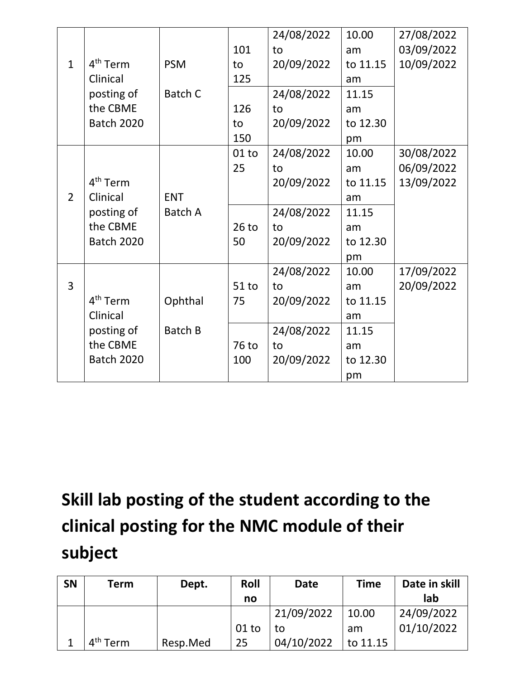|                |                      |            |         | 24/08/2022 | 10.00    | 27/08/2022 |
|----------------|----------------------|------------|---------|------------|----------|------------|
|                |                      |            | 101     | to         | am       | 03/09/2022 |
| $\mathbf{1}$   | 4 <sup>th</sup> Term | <b>PSM</b> | to      | 20/09/2022 | to 11.15 | 10/09/2022 |
|                | Clinical             |            | 125     |            | am       |            |
|                | posting of           | Batch C    |         | 24/08/2022 | 11.15    |            |
|                | the CBME             |            | 126     | to         | am       |            |
|                | <b>Batch 2020</b>    |            | to      | 20/09/2022 | to 12.30 |            |
|                |                      |            | 150     |            | pm       |            |
|                |                      |            | $01$ to | 24/08/2022 | 10.00    | 30/08/2022 |
|                |                      |            | 25      | to         | am       | 06/09/2022 |
|                | 4 <sup>th</sup> Term |            |         | 20/09/2022 | to 11.15 | 13/09/2022 |
| $\overline{2}$ | Clinical             | <b>ENT</b> |         |            | am       |            |
|                | posting of           | Batch A    |         | 24/08/2022 | 11.15    |            |
|                | the CBME             |            | $26$ to | to         | am       |            |
|                | <b>Batch 2020</b>    |            | 50      | 20/09/2022 | to 12.30 |            |
|                |                      |            |         |            | pm       |            |
|                |                      |            |         | 24/08/2022 | 10.00    | 17/09/2022 |
| $\overline{3}$ |                      |            | $51$ to | to         | am       | 20/09/2022 |
|                | 4 <sup>th</sup> Term | Ophthal    | 75      | 20/09/2022 | to 11.15 |            |
|                | Clinical             |            |         |            | am       |            |
|                | posting of           | Batch B    |         | 24/08/2022 | 11.15    |            |
|                | the CBME             |            | 76 to   | to         | am       |            |
|                | <b>Batch 2020</b>    |            | 100     | 20/09/2022 | to 12.30 |            |
|                |                      |            |         |            | pm       |            |

| <b>SN</b> | Term                 | Dept.    | Roll    | <b>Date</b> | <b>Time</b> | Date in skill |
|-----------|----------------------|----------|---------|-------------|-------------|---------------|
|           |                      |          | no      |             |             | lab           |
|           |                      |          |         | 21/09/2022  | 10.00       | 24/09/2022    |
|           |                      |          | $01$ to | to          | am          | 01/10/2022    |
|           | 4 <sup>th</sup> Term | Resp.Med | 25      | 04/10/2022  | to 11.15    |               |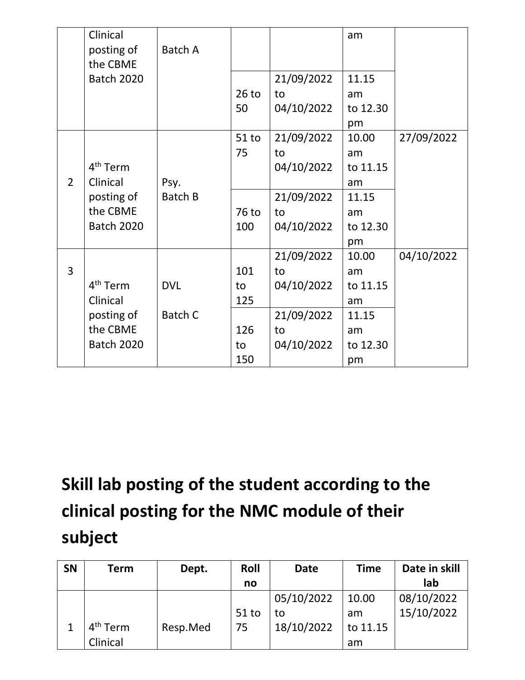|                | Clinical<br>posting of<br>the CBME<br><b>Batch 2020</b>                         | Batch A               | $26$ to<br>50                        | 21/09/2022<br>to<br>04/10/2022                                   | am<br>11.15<br>am<br>to 12.30<br>pm                            |            |
|----------------|---------------------------------------------------------------------------------|-----------------------|--------------------------------------|------------------------------------------------------------------|----------------------------------------------------------------|------------|
| $\overline{2}$ | 4 <sup>th</sup> Term<br>Clinical<br>posting of<br>the CBME<br><b>Batch 2020</b> | Psy.<br>Batch B       | $51$ to<br>75<br>76 to<br>100        | 21/09/2022<br>to<br>04/10/2022<br>21/09/2022<br>to<br>04/10/2022 | 10.00<br>am<br>to 11.15<br>am<br>11.15<br>am<br>to 12.30<br>pm | 27/09/2022 |
| 3              | 4 <sup>th</sup> Term<br>Clinical<br>posting of<br>the CBME<br><b>Batch 2020</b> | <b>DVL</b><br>Batch C | 101<br>to<br>125<br>126<br>to<br>150 | 21/09/2022<br>to<br>04/10/2022<br>21/09/2022<br>to<br>04/10/2022 | 10.00<br>am<br>to 11.15<br>am<br>11.15<br>am<br>to 12.30<br>pm | 04/10/2022 |

| <b>SN</b> | Term                 | Dept.    | Roll    | <b>Date</b> | <b>Time</b> | Date in skill |
|-----------|----------------------|----------|---------|-------------|-------------|---------------|
|           |                      |          | no      |             |             | lab           |
|           |                      |          |         | 05/10/2022  | 10.00       | 08/10/2022    |
|           |                      |          | $51$ to | to          | am          | 15/10/2022    |
|           | 4 <sup>th</sup> Term | Resp.Med | 75      | 18/10/2022  | to 11.15    |               |
|           | Clinical             |          |         |             | am          |               |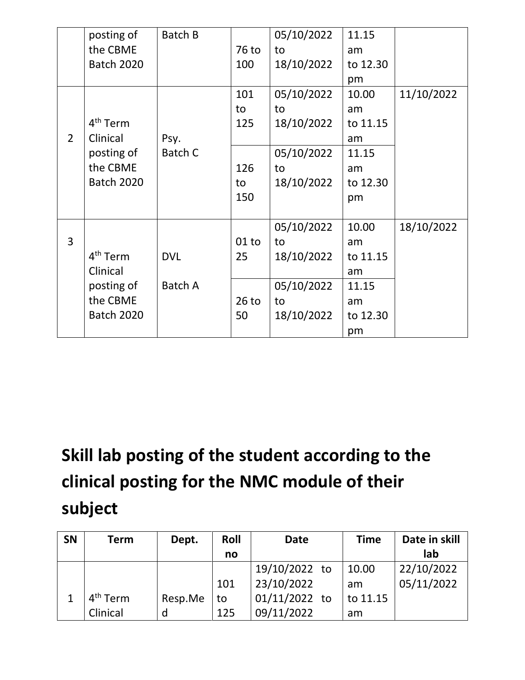|                | posting of<br>the CBME<br><b>Batch 2020</b> | Batch B    | 76 to<br>100 | 05/10/2022<br>to<br>18/10/2022 | 11.15<br>am<br>to 12.30 |            |
|----------------|---------------------------------------------|------------|--------------|--------------------------------|-------------------------|------------|
|                |                                             |            | 101          | 05/10/2022                     | pm<br>10.00             | 11/10/2022 |
|                | 4 <sup>th</sup> Term                        |            | to<br>125    | to<br>18/10/2022               | am<br>to 11.15          |            |
| $\overline{2}$ | Clinical                                    | Psy.       |              |                                | am                      |            |
|                | posting of                                  | Batch C    |              | 05/10/2022                     | 11.15                   |            |
|                | the CBME                                    |            | 126          | to                             | am                      |            |
|                | <b>Batch 2020</b>                           |            | to           | 18/10/2022                     | to 12.30                |            |
|                |                                             |            | 150          |                                | pm                      |            |
|                |                                             |            |              | 05/10/2022                     | 10.00                   | 18/10/2022 |
| 3              |                                             |            | $01$ to      | to                             | am                      |            |
|                | 4 <sup>th</sup> Term                        | <b>DVL</b> | 25           | 18/10/2022                     | to 11.15                |            |
|                | Clinical                                    |            |              |                                | am                      |            |
|                | posting of                                  | Batch A    |              | 05/10/2022                     | 11.15                   |            |
|                | the CBME                                    |            | $26$ to      | to                             | am                      |            |
|                | <b>Batch 2020</b>                           |            | 50           | 18/10/2022                     | to 12.30                |            |
|                |                                             |            |              |                                | pm                      |            |

| <b>SN</b> | <b>Term</b>          | Dept.   | Roll | <b>Date</b>   | <b>Time</b> | Date in skill |
|-----------|----------------------|---------|------|---------------|-------------|---------------|
|           |                      |         | no   |               |             | lab           |
|           |                      |         |      | 19/10/2022 to | 10.00       | 22/10/2022    |
|           |                      |         | 101  | 23/10/2022    | am          | 05/11/2022    |
|           | 4 <sup>th</sup> Term | Resp.Me | to   | 01/11/2022 to | to 11.15    |               |
|           | Clinical             | d       | 125  | 09/11/2022    | am          |               |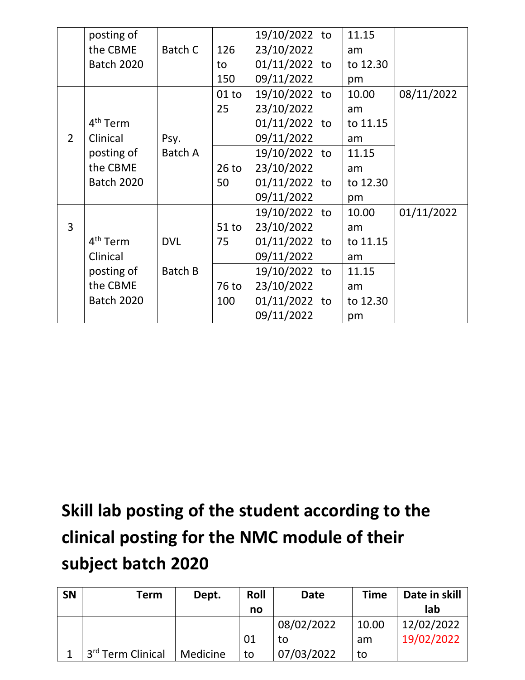|                | posting of           |            |         | 19/10/2022 to | 11.15    |            |
|----------------|----------------------|------------|---------|---------------|----------|------------|
|                | the CBME             | Batch C    | 126     | 23/10/2022    | am       |            |
|                | <b>Batch 2020</b>    |            | to      | 01/11/2022 to | to 12.30 |            |
|                |                      |            | 150     | 09/11/2022    | pm       |            |
|                |                      |            | $01$ to | 19/10/2022 to | 10.00    | 08/11/2022 |
|                |                      |            | 25      | 23/10/2022    | am       |            |
|                | 4 <sup>th</sup> Term |            |         | 01/11/2022 to | to 11.15 |            |
| $\overline{2}$ | Clinical             | Psy.       |         | 09/11/2022    | am       |            |
|                | posting of           | Batch A    |         | 19/10/2022 to | 11.15    |            |
|                | the CBME             |            | $26$ to | 23/10/2022    | am       |            |
|                | <b>Batch 2020</b>    |            | 50      | 01/11/2022 to | to 12.30 |            |
|                |                      |            |         | 09/11/2022    | pm       |            |
|                |                      |            |         | 19/10/2022 to | 10.00    | 01/11/2022 |
| $\overline{3}$ |                      |            | $51$ to | 23/10/2022    | am       |            |
|                | 4 <sup>th</sup> Term | <b>DVL</b> | 75      | 01/11/2022 to | to 11.15 |            |
|                | Clinical             |            |         | 09/11/2022    | am       |            |
|                | posting of           | Batch B    |         | 19/10/2022 to | 11.15    |            |
|                | the CBME             |            | 76 to   | 23/10/2022    | am       |            |
|                | <b>Batch 2020</b>    |            | 100     | 01/11/2022 to | to 12.30 |            |
|                |                      |            |         | 09/11/2022    | pm       |            |

| <b>SN</b> | Term                          | Dept.    | Roll | <b>Date</b> | <b>Time</b> | Date in skill |
|-----------|-------------------------------|----------|------|-------------|-------------|---------------|
|           |                               |          | no   |             |             | lab           |
|           |                               |          |      | 08/02/2022  | 10.00       | 12/02/2022    |
|           |                               |          | 01   | to          | am          | 19/02/2022    |
|           | 3 <sup>rd</sup> Term Clinical | Medicine | to   | 07/03/2022  | to          |               |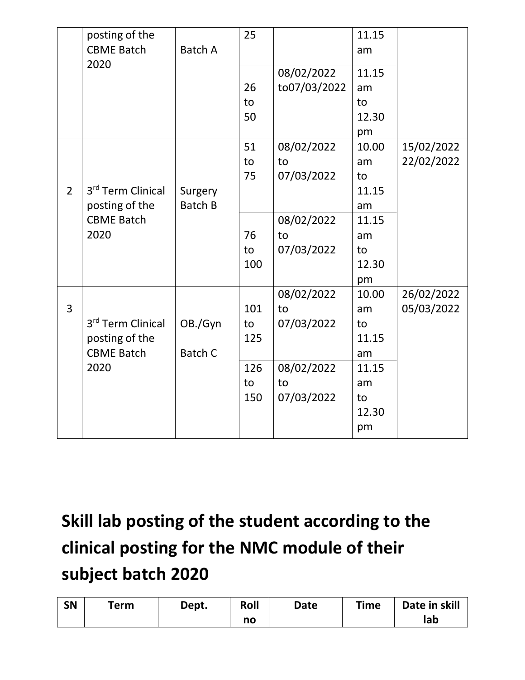|                | posting of the<br><b>CBME Batch</b> | <b>Batch A</b> | 25  |                            | 11.15<br>am |            |
|----------------|-------------------------------------|----------------|-----|----------------------------|-------------|------------|
|                | 2020                                |                | 26  | 08/02/2022<br>to07/03/2022 | 11.15<br>am |            |
|                |                                     |                | to  |                            | to          |            |
|                |                                     |                | 50  |                            | 12.30       |            |
|                |                                     |                |     |                            | pm          |            |
|                |                                     |                | 51  | 08/02/2022                 | 10.00       | 15/02/2022 |
|                |                                     |                | to  | to                         | am          | 22/02/2022 |
|                |                                     |                | 75  | 07/03/2022                 | to          |            |
| $\overline{2}$ | 3 <sup>rd</sup> Term Clinical       | Surgery        |     |                            | 11.15       |            |
|                | posting of the                      | <b>Batch B</b> |     |                            | am          |            |
|                | <b>CBME Batch</b>                   |                |     | 08/02/2022                 | 11.15       |            |
|                | 2020                                |                | 76  | to                         | am          |            |
|                |                                     |                | to  | 07/03/2022                 | to          |            |
|                |                                     |                | 100 |                            | 12.30       |            |
|                |                                     |                |     |                            | pm          |            |
|                |                                     |                |     | 08/02/2022                 | 10.00       | 26/02/2022 |
| 3              |                                     |                | 101 | to                         | am          | 05/03/2022 |
|                | 3 <sup>rd</sup> Term Clinical       | OB./Gyn        | to  | 07/03/2022                 | to          |            |
|                | posting of the                      |                | 125 |                            | 11.15       |            |
|                | <b>CBME Batch</b>                   | <b>Batch C</b> |     |                            | am          |            |
|                | 2020                                |                | 126 | 08/02/2022                 | 11.15       |            |
|                |                                     |                | to  | to                         | am          |            |
|                |                                     |                | 150 | 07/03/2022                 | to          |            |
|                |                                     |                |     |                            | 12.30       |            |
|                |                                     |                |     |                            | pm          |            |

| <b>SN</b> | Term | Dept. | Roll | <b>Date</b> | <b>Time</b> | Date in skill |
|-----------|------|-------|------|-------------|-------------|---------------|
|           |      |       | no   |             |             | lab           |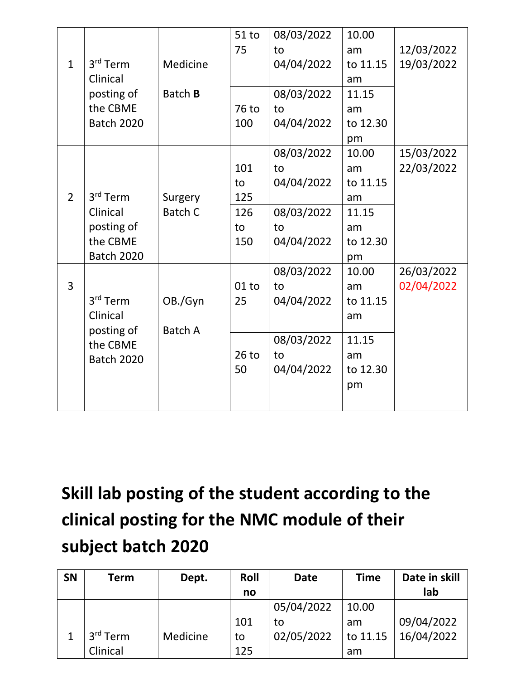|                |                      |                | 51 to   | 08/03/2022 | 10.00    |            |
|----------------|----------------------|----------------|---------|------------|----------|------------|
|                |                      |                | 75      | to         | am       | 12/03/2022 |
| $\mathbf{1}$   | 3 <sup>rd</sup> Term | Medicine       |         | 04/04/2022 | to 11.15 | 19/03/2022 |
|                | Clinical             |                |         |            | am       |            |
|                | posting of           | Batch <b>B</b> |         | 08/03/2022 | 11.15    |            |
|                | the CBME             |                | 76 to   | to         | am       |            |
|                | <b>Batch 2020</b>    |                | 100     | 04/04/2022 | to 12.30 |            |
|                |                      |                |         |            | pm       |            |
|                |                      |                |         | 08/03/2022 | 10.00    | 15/03/2022 |
|                |                      |                | 101     | to         | am       | 22/03/2022 |
|                |                      |                | to      | 04/04/2022 | to 11.15 |            |
| $\overline{2}$ | 3 <sup>rd</sup> Term | Surgery        | 125     |            | am       |            |
|                | Clinical             | <b>Batch C</b> | 126     | 08/03/2022 | 11.15    |            |
|                | posting of           |                | to      | to         | am       |            |
|                | the CBME             |                | 150     | 04/04/2022 | to 12.30 |            |
|                | <b>Batch 2020</b>    |                |         |            | pm       |            |
|                |                      |                |         | 08/03/2022 | 10.00    | 26/03/2022 |
| 3              |                      |                | $01$ to | to         | am       | 02/04/2022 |
|                | 3 <sup>rd</sup> Term | OB./Gyn        | 25      | 04/04/2022 | to 11.15 |            |
|                | Clinical             |                |         |            | am       |            |
|                | posting of           | <b>Batch A</b> |         |            |          |            |
|                | the CBME             |                |         | 08/03/2022 | 11.15    |            |
|                | <b>Batch 2020</b>    |                | $26$ to | to         | am       |            |
|                |                      |                | 50      | 04/04/2022 | to 12.30 |            |
|                |                      |                |         |            | pm       |            |
|                |                      |                |         |            |          |            |

| SN | <b>Term</b> | Dept.    | Roll | <b>Date</b> | <b>Time</b> | Date in skill |
|----|-------------|----------|------|-------------|-------------|---------------|
|    |             |          | no   |             |             | lab           |
|    |             |          |      | 05/04/2022  | 10.00       |               |
|    |             |          | 101  | to          | am          | 09/04/2022    |
|    | $3rd$ Term  | Medicine | to   | 02/05/2022  | to 11.15    | 16/04/2022    |
|    | Clinical    |          | 125  |             | am          |               |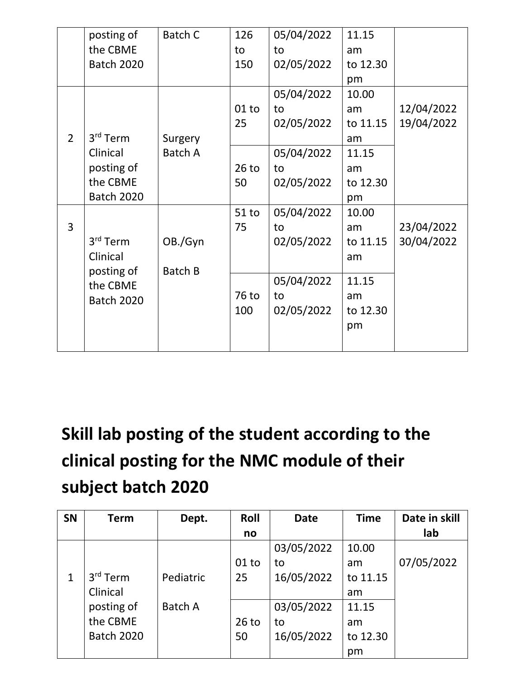|                | posting of<br>the CBME<br><b>Batch 2020</b>                                     | Batch C            | 126<br>to<br>150            | 05/04/2022<br>to<br>02/05/2022                                   | 11.15<br>am<br>to 12.30<br>pm                                  |                          |
|----------------|---------------------------------------------------------------------------------|--------------------|-----------------------------|------------------------------------------------------------------|----------------------------------------------------------------|--------------------------|
| $\overline{2}$ | 3 <sup>rd</sup> Term                                                            | Surgery            | $01$ to<br>25               | 05/04/2022<br>to<br>02/05/2022                                   | 10.00<br>am<br>to 11.15<br>am                                  | 12/04/2022<br>19/04/2022 |
|                | Clinical<br>posting of<br>the CBME<br><b>Batch 2020</b>                         | <b>Batch A</b>     | $26$ to<br>50               | 05/04/2022<br>to<br>02/05/2022                                   | 11.15<br>am<br>to 12.30<br>pm                                  |                          |
| 3              | 3 <sup>rd</sup> Term<br>Clinical<br>posting of<br>the CBME<br><b>Batch 2020</b> | OB./Gyn<br>Batch B | 51 to<br>75<br>76 to<br>100 | 05/04/2022<br>to<br>02/05/2022<br>05/04/2022<br>to<br>02/05/2022 | 10.00<br>am<br>to 11.15<br>am<br>11.15<br>am<br>to 12.30<br>pm | 23/04/2022<br>30/04/2022 |

| <b>SN</b> | <b>Term</b>          | Dept.          | Roll    | <b>Date</b> | <b>Time</b> | Date in skill |
|-----------|----------------------|----------------|---------|-------------|-------------|---------------|
|           |                      |                | no      |             |             | lab           |
|           |                      |                |         | 03/05/2022  | 10.00       |               |
|           |                      |                | $01$ to | to          | am          | 07/05/2022    |
|           | 3 <sup>rd</sup> Term | Pediatric      | 25      | 16/05/2022  | to 11.15    |               |
|           | Clinical             |                |         |             | am          |               |
|           | posting of           | <b>Batch A</b> |         | 03/05/2022  | 11.15       |               |
|           | the CBME             |                | $26$ to | to          | am          |               |
|           | <b>Batch 2020</b>    |                | 50      | 16/05/2022  | to 12.30    |               |
|           |                      |                |         |             | pm          |               |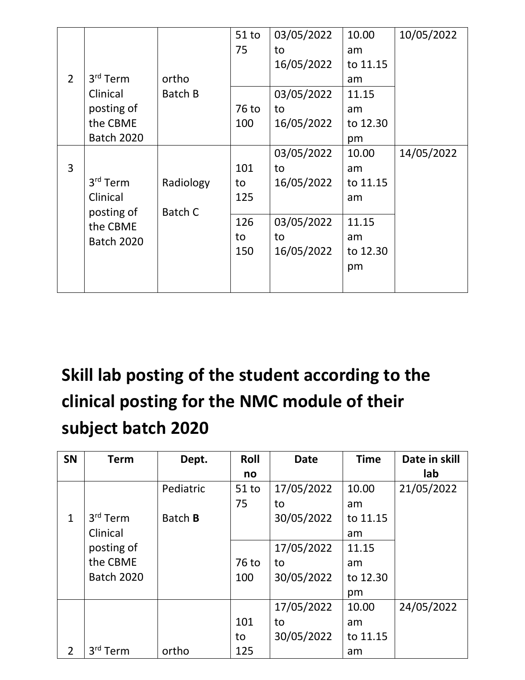|                |                      |           | $51$ to | 03/05/2022 | 10.00    | 10/05/2022 |
|----------------|----------------------|-----------|---------|------------|----------|------------|
|                |                      |           | 75      | to         | am       |            |
|                |                      |           |         | 16/05/2022 | to 11.15 |            |
| $\overline{2}$ | 3 <sup>rd</sup> Term | ortho     |         |            | am       |            |
|                | Clinical             | Batch B   |         | 03/05/2022 | 11.15    |            |
|                | posting of           |           | 76 to   | to         | am       |            |
|                | the CBME             |           | 100     | 16/05/2022 | to 12.30 |            |
|                | <b>Batch 2020</b>    |           |         |            | pm       |            |
|                |                      |           |         | 03/05/2022 | 10.00    | 14/05/2022 |
| 3              |                      |           | 101     | to         | am       |            |
|                | 3 <sup>rd</sup> Term | Radiology | to      | 16/05/2022 | to 11.15 |            |
|                | Clinical             |           | 125     |            | am       |            |
|                | posting of           | Batch C   |         |            |          |            |
|                | the CBME             |           | 126     | 03/05/2022 | 11.15    |            |
|                | <b>Batch 2020</b>    |           | to      | to         | am       |            |
|                |                      |           | 150     | 16/05/2022 | to 12.30 |            |
|                |                      |           |         |            | pm       |            |
|                |                      |           |         |            |          |            |

| SN             | <b>Term</b>          | Dept.          | Roll    | <b>Date</b> | <b>Time</b> | Date in skill |
|----------------|----------------------|----------------|---------|-------------|-------------|---------------|
|                |                      |                | no      |             |             | lab           |
|                |                      | Pediatric      | $51$ to | 17/05/2022  | 10.00       | 21/05/2022    |
|                |                      |                | 75      | to          | am          |               |
| $\mathbf{1}$   | $3rd$ Term           | Batch <b>B</b> |         | 30/05/2022  | to 11.15    |               |
|                | Clinical             |                |         |             | am          |               |
|                | posting of           |                |         | 17/05/2022  | 11.15       |               |
|                | the CBME             |                | 76 to   | to          | am          |               |
|                | <b>Batch 2020</b>    |                | 100     | 30/05/2022  | to 12.30    |               |
|                |                      |                |         |             | pm          |               |
|                |                      |                |         | 17/05/2022  | 10.00       | 24/05/2022    |
|                |                      |                | 101     | to          | am          |               |
|                |                      |                | to      | 30/05/2022  | to 11.15    |               |
| $\overline{2}$ | 3 <sup>rd</sup> Term | ortho          | 125     |             | am          |               |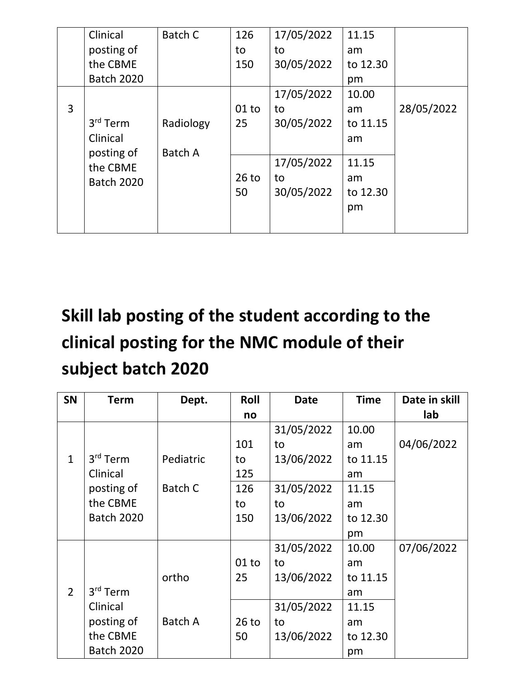|   | Clinical             | Batch C   | 126     | 17/05/2022 | 11.15    |            |
|---|----------------------|-----------|---------|------------|----------|------------|
|   | posting of           |           | to      | to         | am       |            |
|   | the CBME             |           | 150     | 30/05/2022 | to 12.30 |            |
|   | <b>Batch 2020</b>    |           |         |            | pm       |            |
|   |                      |           |         | 17/05/2022 | 10.00    |            |
| 3 |                      |           | $01$ to | to         | am       | 28/05/2022 |
|   | 3 <sup>rd</sup> Term | Radiology | 25      | 30/05/2022 | to 11.15 |            |
|   | Clinical             |           |         |            | am       |            |
|   | posting of           | Batch A   |         |            |          |            |
|   | the CBME             |           |         | 17/05/2022 | 11.15    |            |
|   | <b>Batch 2020</b>    |           | $26$ to | to         | am       |            |
|   |                      |           | 50      | 30/05/2022 | to 12.30 |            |
|   |                      |           |         |            | pm       |            |
|   |                      |           |         |            |          |            |

| <b>SN</b>      | <b>Term</b>          | Dept.     | Roll    | <b>Date</b> | <b>Time</b> | Date in skill |
|----------------|----------------------|-----------|---------|-------------|-------------|---------------|
|                |                      |           | no      |             |             | lab           |
|                |                      |           |         | 31/05/2022  | 10.00       |               |
|                |                      |           | 101     | to          | am          | 04/06/2022    |
| $\mathbf{1}$   | 3 <sup>rd</sup> Term | Pediatric | to      | 13/06/2022  | to 11.15    |               |
|                | Clinical             |           | 125     |             | am          |               |
|                | posting of           | Batch C   | 126     | 31/05/2022  | 11.15       |               |
|                | the CBME             |           | to      | to          | am          |               |
|                | <b>Batch 2020</b>    |           | 150     | 13/06/2022  | to 12.30    |               |
|                |                      |           |         |             | pm          |               |
|                |                      |           |         | 31/05/2022  | 10.00       | 07/06/2022    |
|                |                      |           | $01$ to | to          | am          |               |
|                |                      | ortho     | 25      | 13/06/2022  | to 11.15    |               |
| $\overline{2}$ | 3 <sup>rd</sup> Term |           |         |             | am          |               |
|                | Clinical             |           |         | 31/05/2022  | 11.15       |               |
|                | posting of           | Batch A   | $26$ to | to          | am          |               |
|                | the CBME             |           | 50      | 13/06/2022  | to 12.30    |               |
|                | <b>Batch 2020</b>    |           |         |             | pm          |               |